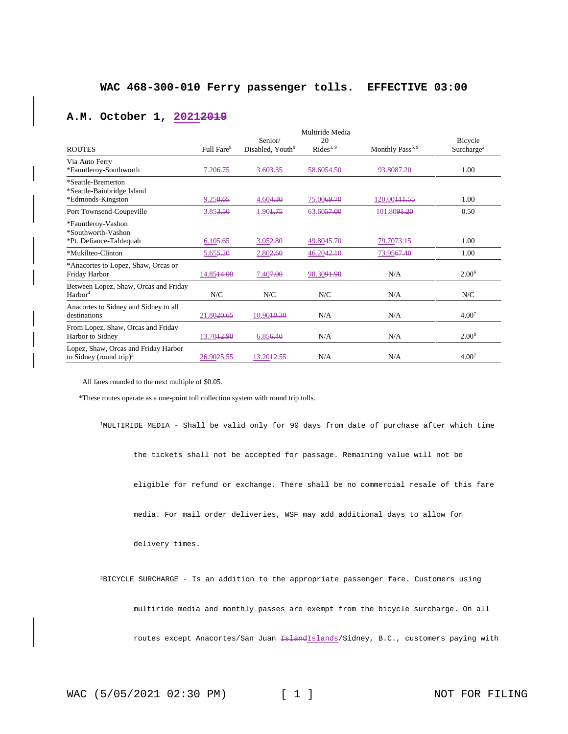### **A.M. October 1, 20212019**

|                                                                             |                        |                                         | Multiride Media             |                              |                                   |
|-----------------------------------------------------------------------------|------------------------|-----------------------------------------|-----------------------------|------------------------------|-----------------------------------|
| <b>ROUTES</b>                                                               | Full Fare <sup>9</sup> | Senior/<br>Disabled, Youth <sup>9</sup> | 20<br>Rides <sup>1, 9</sup> | Monthly Pass <sup>5, 9</sup> | Bicycle<br>Surcharge <sup>2</sup> |
| Via Auto Ferry<br>*Fauntleroy-Southworth                                    | 7.206.75               | 3.603,35                                | 58.6054.50                  | 93.8087.20                   | 1.00                              |
| *Seattle-Bremerton<br>*Seattle-Bainbridge Island<br>*Edmonds-Kingston       | 9.258.65               | 4.604.30                                | 75.0069.70                  | 120.00444.55                 | 1.00                              |
| Port Townsend-Coupeville                                                    | 3.853.50               | 1.904.75                                | 63.6057.00                  | 101.80 <del>91.20</del>      | 0.50                              |
| *Fauntleroy-Vashon<br>*Southworth-Vashon<br>*Pt. Defiance-Tahlequah         | 6.105.65               | 3.052.80                                | 49.8045.70                  | 79.70 <del>73.15</del>       | 1.00                              |
| *Mukilteo-Clinton                                                           | 5.655,20               | 2.802.60                                | 46.2042.10                  | 73.9567.40                   | 1.00                              |
| *Anacortes to Lopez, Shaw, Orcas or<br>Friday Harbor                        | 14.8514.00             | 7.40 <del>7.00</del>                    | 98.3091.90                  | N/A                          | 2.00 <sup>6</sup>                 |
| Between Lopez, Shaw, Orcas and Friday<br>Harbor <sup>4</sup>                | N/C                    | N/C                                     | N/C                         | N/A                          | N/C                               |
| Anacortes to Sidney and Sidney to all<br>destinations                       | 21.8020.65             | 10.9040.30                              | N/A                         | N/A                          | 4.00 <sup>7</sup>                 |
| From Lopez, Shaw, Orcas and Friday<br>Harbor to Sidney                      | 13.70 <del>12.90</del> | 6.856.40                                | N/A                         | N/A                          | 2.00 <sup>8</sup>                 |
| Lopez, Shaw, Orcas and Friday Harbor<br>to Sidney (round trip) <sup>3</sup> | 26.9025.55             | 13.20 <del>12.55</del>                  | N/A                         | N/A                          | 4.00 <sup>7</sup>                 |

All fares rounded to the next multiple of \$0.05.

\*These routes operate as a one-point toll collection system with round trip tolls.

<sup>1</sup>MULTIRIDE MEDIA - Shall be valid only for 90 days from date of purchase after which time

the tickets shall not be accepted for passage. Remaining value will not be

eligible for refund or exchange. There shall be no commercial resale of this fare

media. For mail order deliveries, WSF may add additional days to allow for

delivery times.

<sup>2</sup>BICYCLE SURCHARGE - Is an addition to the appropriate passenger fare. Customers using

multiride media and monthly passes are exempt from the bicycle surcharge. On all

routes except Anacortes/San Juan IslandIslands/Sidney, B.C., customers paying with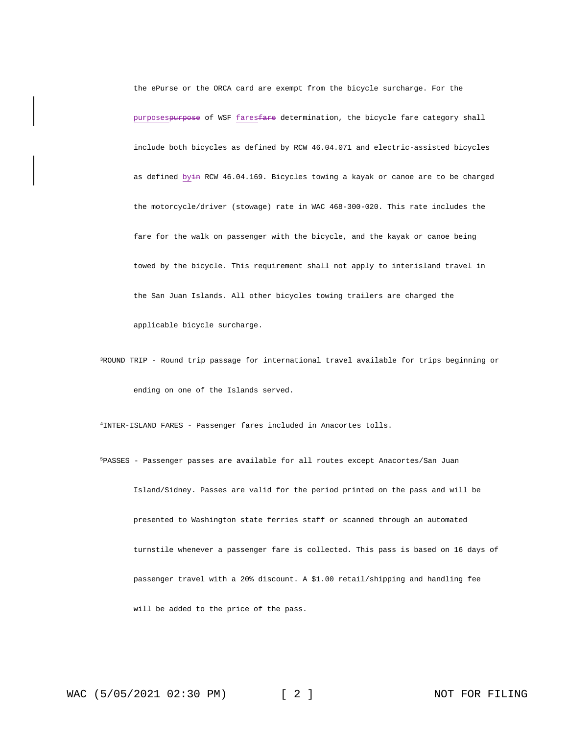the ePurse or the ORCA card are exempt from the bicycle surcharge. For the purposespurpose of WSF faresfare determination, the bicycle fare category shall include both bicycles as defined by RCW 46.04.071 and electric-assisted bicycles as defined byin RCW 46.04.169. Bicycles towing a kayak or canoe are to be charged the motorcycle/driver (stowage) rate in WAC 468-300-020. This rate includes the fare for the walk on passenger with the bicycle, and the kayak or canoe being towed by the bicycle. This requirement shall not apply to interisland travel in the San Juan Islands. All other bicycles towing trailers are charged the applicable bicycle surcharge.

<sup>3</sup>ROUND TRIP - Round trip passage for international travel available for trips beginning or ending on one of the Islands served.

<sup>4</sup>INTER-ISLAND FARES - Passenger fares included in Anacortes tolls.

<sup>5</sup>PASSES - Passenger passes are available for all routes except Anacortes/San Juan Island/Sidney. Passes are valid for the period printed on the pass and will be presented to Washington state ferries staff or scanned through an automated turnstile whenever a passenger fare is collected. This pass is based on 16 days of passenger travel with a 20% discount. A \$1.00 retail/shipping and handling fee will be added to the price of the pass.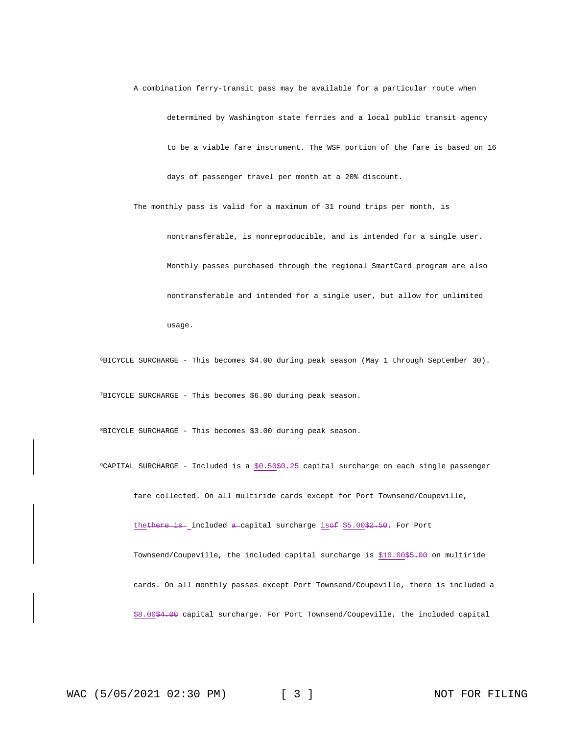A combination ferry-transit pass may be available for a particular route when determined by Washington state ferries and a local public transit agency to be a viable fare instrument. The WSF portion of the fare is based on 16 days of passenger travel per month at a 20% discount.

nontransferable, is nonreproducible, and is intended for a single user. Monthly passes purchased through the regional SmartCard program are also nontransferable and intended for a single user, but allow for unlimited usage.

The monthly pass is valid for a maximum of 31 round trips per month, is

<sup>6</sup>BICYCLE SURCHARGE - This becomes \$4.00 during peak season (May 1 through September 30).

<sup>7</sup>BICYCLE SURCHARGE - This becomes \$6.00 during peak season.

<sup>8</sup>BICYCLE SURCHARGE - This becomes \$3.00 during peak season.

 $9$ CAPITAL SURCHARGE - Included is a  $$0.50$+0.25$  capital surcharge on each single passenger

fare collected. On all multiride cards except for Port Townsend/Coupeville,

thethere is included a capital surcharge isof \$5.00\$2.50. For Port Townsend/Coupeville, the included capital surcharge is \$10.00\$5.00 on multiride cards. On all monthly passes except Port Townsend/Coupeville, there is included a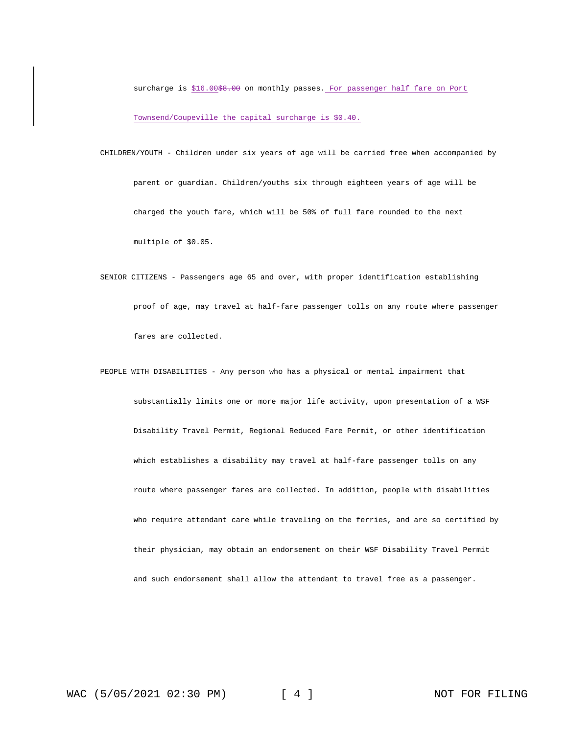surcharge is \$16.00<del>\$8.00</del> on monthly passes. For passenger half fare on Port Townsend/Coupeville the capital surcharge is \$0.40.

- CHILDREN/YOUTH Children under six years of age will be carried free when accompanied by parent or guardian. Children/youths six through eighteen years of age will be charged the youth fare, which will be 50% of full fare rounded to the next multiple of \$0.05.
- SENIOR CITIZENS Passengers age 65 and over, with proper identification establishing proof of age, may travel at half-fare passenger tolls on any route where passenger fares are collected.
- PEOPLE WITH DISABILITIES Any person who has a physical or mental impairment that substantially limits one or more major life activity, upon presentation of a WSF Disability Travel Permit, Regional Reduced Fare Permit, or other identification which establishes a disability may travel at half-fare passenger tolls on any route where passenger fares are collected. In addition, people with disabilities who require attendant care while traveling on the ferries, and are so certified by their physician, may obtain an endorsement on their WSF Disability Travel Permit and such endorsement shall allow the attendant to travel free as a passenger.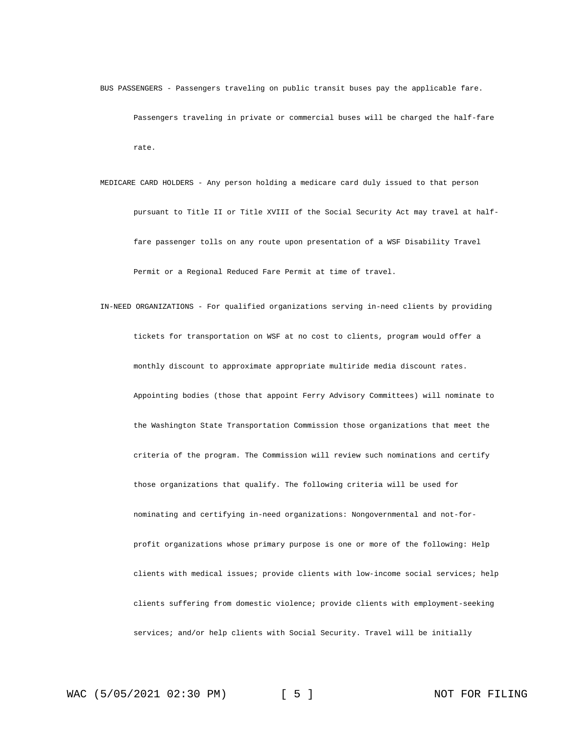BUS PASSENGERS - Passengers traveling on public transit buses pay the applicable fare. Passengers traveling in private or commercial buses will be charged the half-fare rate.

MEDICARE CARD HOLDERS - Any person holding a medicare card duly issued to that person pursuant to Title II or Title XVIII of the Social Security Act may travel at halffare passenger tolls on any route upon presentation of a WSF Disability Travel Permit or a Regional Reduced Fare Permit at time of travel.

IN-NEED ORGANIZATIONS - For qualified organizations serving in-need clients by providing tickets for transportation on WSF at no cost to clients, program would offer a monthly discount to approximate appropriate multiride media discount rates. Appointing bodies (those that appoint Ferry Advisory Committees) will nominate to the Washington State Transportation Commission those organizations that meet the criteria of the program. The Commission will review such nominations and certify those organizations that qualify. The following criteria will be used for nominating and certifying in-need organizations: Nongovernmental and not-forprofit organizations whose primary purpose is one or more of the following: Help clients with medical issues; provide clients with low-income social services; help clients suffering from domestic violence; provide clients with employment-seeking services; and/or help clients with Social Security. Travel will be initially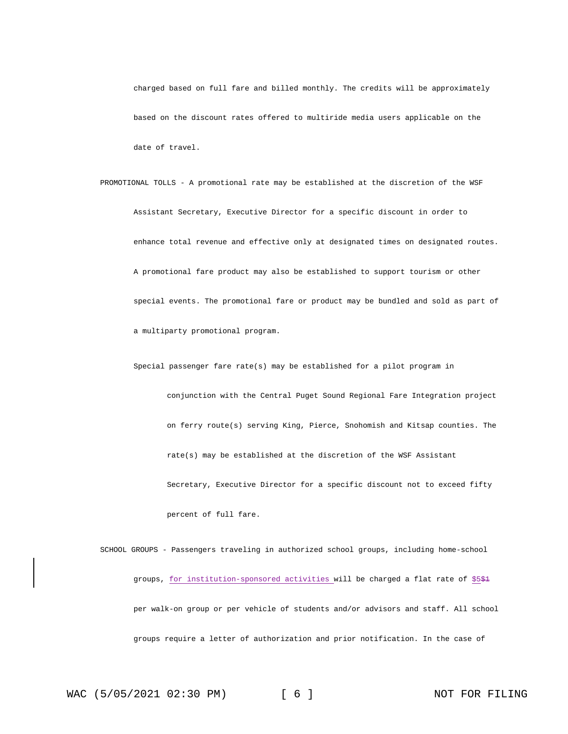charged based on full fare and billed monthly. The credits will be approximately based on the discount rates offered to multiride media users applicable on the date of travel.

PROMOTIONAL TOLLS - A promotional rate may be established at the discretion of the WSF Assistant Secretary, Executive Director for a specific discount in order to enhance total revenue and effective only at designated times on designated routes. A promotional fare product may also be established to support tourism or other special events. The promotional fare or product may be bundled and sold as part of a multiparty promotional program.

Special passenger fare rate(s) may be established for a pilot program in conjunction with the Central Puget Sound Regional Fare Integration project on ferry route(s) serving King, Pierce, Snohomish and Kitsap counties. The rate(s) may be established at the discretion of the WSF Assistant Secretary, Executive Director for a specific discount not to exceed fifty percent of full fare.

SCHOOL GROUPS - Passengers traveling in authorized school groups, including home-school groups, for institution-sponsored activities will be charged a flat rate of \$5\$1 per walk-on group or per vehicle of students and/or advisors and staff. All school groups require a letter of authorization and prior notification. In the case of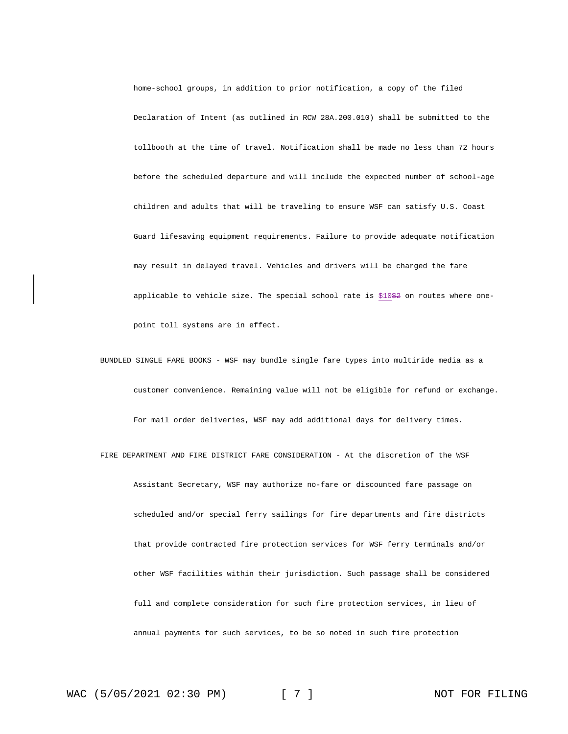home-school groups, in addition to prior notification, a copy of the filed Declaration of Intent (as outlined in RCW 28A.200.010) shall be submitted to the tollbooth at the time of travel. Notification shall be made no less than 72 hours before the scheduled departure and will include the expected number of school-age children and adults that will be traveling to ensure WSF can satisfy U.S. Coast Guard lifesaving equipment requirements. Failure to provide adequate notification may result in delayed travel. Vehicles and drivers will be charged the fare applicable to vehicle size. The special school rate is \$10\$2 on routes where onepoint toll systems are in effect.

BUNDLED SINGLE FARE BOOKS - WSF may bundle single fare types into multiride media as a customer convenience. Remaining value will not be eligible for refund or exchange. For mail order deliveries, WSF may add additional days for delivery times.

FIRE DEPARTMENT AND FIRE DISTRICT FARE CONSIDERATION - At the discretion of the WSF Assistant Secretary, WSF may authorize no-fare or discounted fare passage on scheduled and/or special ferry sailings for fire departments and fire districts that provide contracted fire protection services for WSF ferry terminals and/or other WSF facilities within their jurisdiction. Such passage shall be considered full and complete consideration for such fire protection services, in lieu of annual payments for such services, to be so noted in such fire protection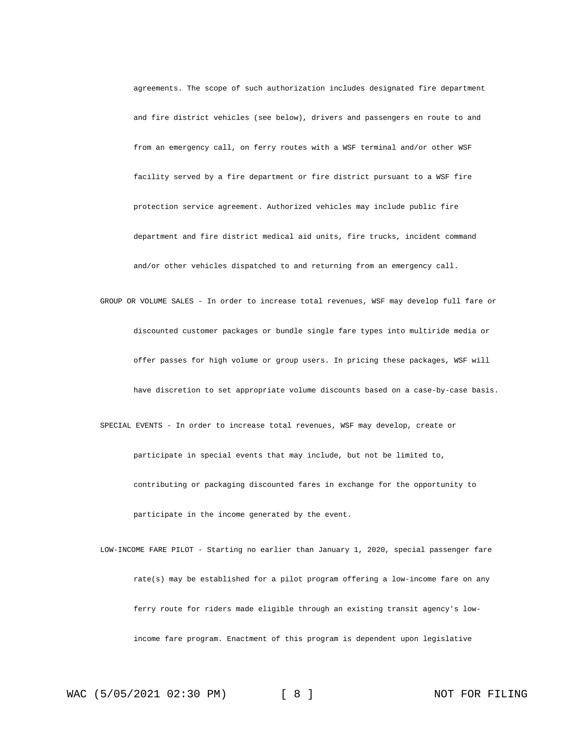agreements. The scope of such authorization includes designated fire department and fire district vehicles (see below), drivers and passengers en route to and from an emergency call, on ferry routes with a WSF terminal and/or other WSF facility served by a fire department or fire district pursuant to a WSF fire protection service agreement. Authorized vehicles may include public fire department and fire district medical aid units, fire trucks, incident command and/or other vehicles dispatched to and returning from an emergency call.

GROUP OR VOLUME SALES - In order to increase total revenues, WSF may develop full fare or discounted customer packages or bundle single fare types into multiride media or offer passes for high volume or group users. In pricing these packages, WSF will have discretion to set appropriate volume discounts based on a case-by-case basis. SPECIAL EVENTS - In order to increase total revenues, WSF may develop, create or

participate in special events that may include, but not be limited to, contributing or packaging discounted fares in exchange for the opportunity to participate in the income generated by the event.

LOW-INCOME FARE PILOT - Starting no earlier than January 1, 2020, special passenger fare rate(s) may be established for a pilot program offering a low-income fare on any ferry route for riders made eligible through an existing transit agency's lowincome fare program. Enactment of this program is dependent upon legislative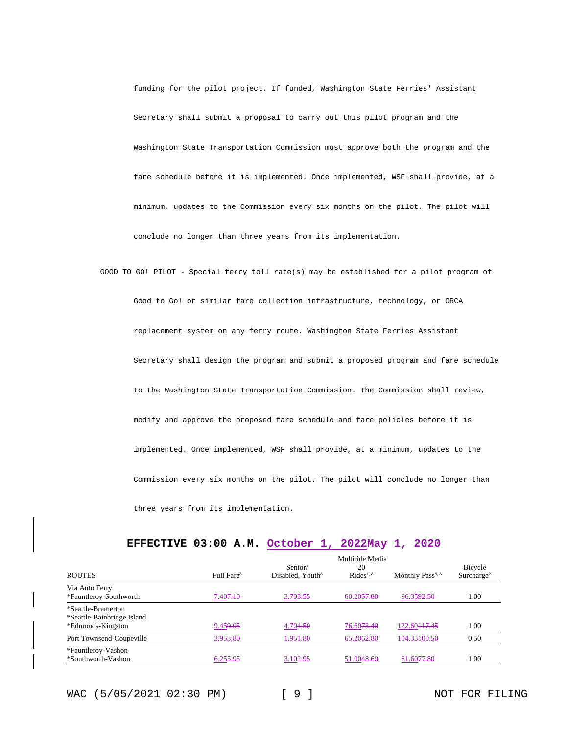funding for the pilot project. If funded, Washington State Ferries' Assistant Secretary shall submit a proposal to carry out this pilot program and the Washington State Transportation Commission must approve both the program and the fare schedule before it is implemented. Once implemented, WSF shall provide, at a minimum, updates to the Commission every six months on the pilot. The pilot will conclude no longer than three years from its implementation.

GOOD TO GO! PILOT - Special ferry toll rate(s) may be established for a pilot program of Good to Go! or similar fare collection infrastructure, technology, or ORCA replacement system on any ferry route. Washington State Ferries Assistant Secretary shall design the program and submit a proposed program and fare schedule to the Washington State Transportation Commission. The Commission shall review, modify and approve the proposed fare schedule and fare policies before it is implemented. Once implemented, WSF shall provide, at a minimum, updates to the Commission every six months on the pilot. The pilot will conclude no longer than three years from its implementation.

|                                                                       |                        |                                         | Multiride Media             |                              |                                   |
|-----------------------------------------------------------------------|------------------------|-----------------------------------------|-----------------------------|------------------------------|-----------------------------------|
| <b>ROUTES</b>                                                         | Full Fare <sup>8</sup> | Senior/<br>Disabled, Youth <sup>8</sup> | 20<br>Rides <sup>1, 8</sup> | Monthly Pass <sup>5, 8</sup> | Bicycle<br>Surcharge <sup>2</sup> |
| Via Auto Ferry<br>*Fauntleroy-Southworth                              | 7.40 <del>7.10</del>   | 3.703.55                                | 60.2057.80                  | 96.3592.50                   | 1.00                              |
| *Seattle-Bremerton<br>*Seattle-Bainbridge Island<br>*Edmonds-Kingston | 9.459.05               | 4.704.50                                | 76.6073.40                  | 122.60 <del>117.45</del>     | 1.00                              |
| Port Townsend-Coupeville                                              | 3.953.80               | 1.95 <del>1.80</del>                    | 65.2062.80                  | 104.35100.50                 | 0.50                              |
| *Fauntleroy-Vashon<br>*Southworth-Vashon                              | 6.255.95               | 3.102.95                                | 51.0048.60                  | 81.6077.80                   | 1.00                              |

### **EFFECTIVE 03:00 A.M. October 1, 2022May 1, 2020**

WAC (5/05/2021 02:30 PM) [ 9 ] NOT FOR FILING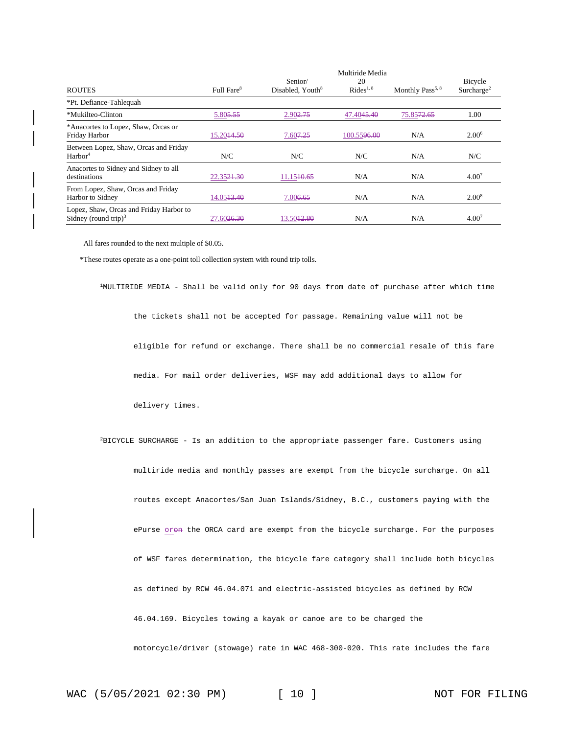| <b>ROUTES</b>                                                               | Full Fare <sup>8</sup> | Senior/<br>Disabled, Youth <sup>8</sup> | Multiride Media<br>20<br>Rides <sup>1, 8</sup> | Monthly Pass <sup>5, 8</sup> | <b>Bicycle</b><br>Surcharge <sup>2</sup> |
|-----------------------------------------------------------------------------|------------------------|-----------------------------------------|------------------------------------------------|------------------------------|------------------------------------------|
| *Pt. Defiance-Tahlequah                                                     |                        |                                         |                                                |                              |                                          |
| *Mukilteo-Clinton                                                           | 5.805.55               | 2.902.75                                | 47.4045.40                                     | 75.8572.65                   | 1.00                                     |
| *Anacortes to Lopez, Shaw, Orcas or<br>Friday Harbor                        | 15.20 <del>14.50</del> | 7.60 <del>7.25</del>                    | 100.5596.00                                    | N/A                          | 2.00 <sup>6</sup>                        |
| Between Lopez, Shaw, Orcas and Friday<br>Harbor <sup>4</sup>                | N/C                    | N/C                                     | N/C                                            | N/A                          | N/C                                      |
| Anacortes to Sidney and Sidney to all<br>destinations                       | 22.3521.30             | 11.15 <del>10.65</del>                  | N/A                                            | N/A                          | 4.00 <sup>7</sup>                        |
| From Lopez, Shaw, Orcas and Friday<br>Harbor to Sidney                      | 14.05 <del>13.40</del> | 7.00 <del>6.65</del>                    | N/A                                            | N/A                          | $2.00^8$                                 |
| Lopez, Shaw, Orcas and Friday Harbor to<br>Sidney (round trip) <sup>3</sup> | 27.60 <del>26.30</del> | 13.50 <del>12.80</del>                  | N/A                                            | N/A                          | $4.00^{7}$                               |

All fares rounded to the next multiple of \$0.05.

\*These routes operate as a one-point toll collection system with round trip tolls.

<sup>1</sup>MULTIRIDE MEDIA - Shall be valid only for 90 days from date of purchase after which time the tickets shall not be accepted for passage. Remaining value will not be eligible for refund or exchange. There shall be no commercial resale of this fare media. For mail order deliveries, WSF may add additional days to allow for delivery times.  ${}^{2}$ BICYCLE SURCHARGE - Is an addition to the appropriate passenger fare. Customers using multiride media and monthly passes are exempt from the bicycle surcharge. On all routes except Anacortes/San Juan Islands/Sidney, B.C., customers paying with the ePurse oron the ORCA card are exempt from the bicycle surcharge. For the purposes of WSF fares determination, the bicycle fare category shall include both bicycles as defined by RCW 46.04.071 and electric-assisted bicycles as defined by RCW 46.04.169. Bicycles towing a kayak or canoe are to be charged the motorcycle/driver (stowage) rate in WAC 468-300-020. This rate includes the fare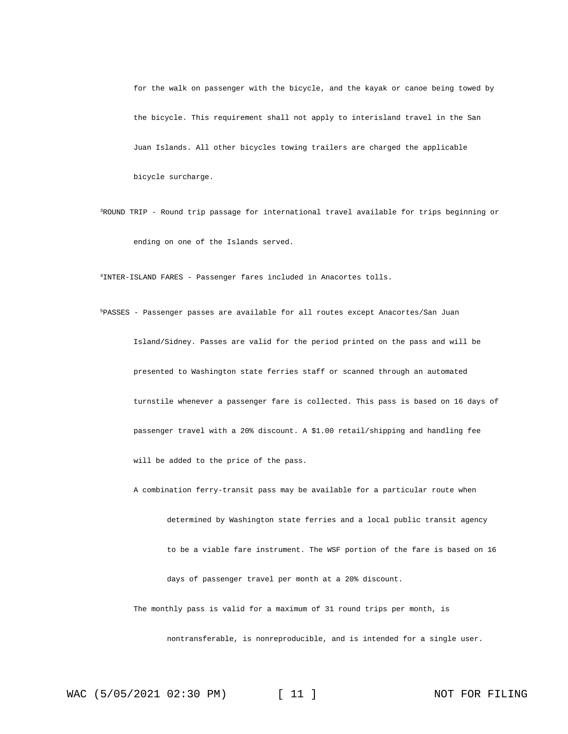for the walk on passenger with the bicycle, and the kayak or canoe being towed by the bicycle. This requirement shall not apply to interisland travel in the San Juan Islands. All other bicycles towing trailers are charged the applicable bicycle surcharge.

<sup>3</sup>ROUND TRIP - Round trip passage for international travel available for trips beginning or ending on one of the Islands served.

<sup>4</sup>INTER-ISLAND FARES - Passenger fares included in Anacortes tolls.

<sup>5</sup>PASSES - Passenger passes are available for all routes except Anacortes/San Juan Island/Sidney. Passes are valid for the period printed on the pass and will be presented to Washington state ferries staff or scanned through an automated turnstile whenever a passenger fare is collected. This pass is based on 16 days of passenger travel with a 20% discount. A \$1.00 retail/shipping and handling fee will be added to the price of the pass.

A combination ferry-transit pass may be available for a particular route when

determined by Washington state ferries and a local public transit agency to be a viable fare instrument. The WSF portion of the fare is based on 16 days of passenger travel per month at a 20% discount.

The monthly pass is valid for a maximum of 31 round trips per month, is

nontransferable, is nonreproducible, and is intended for a single user.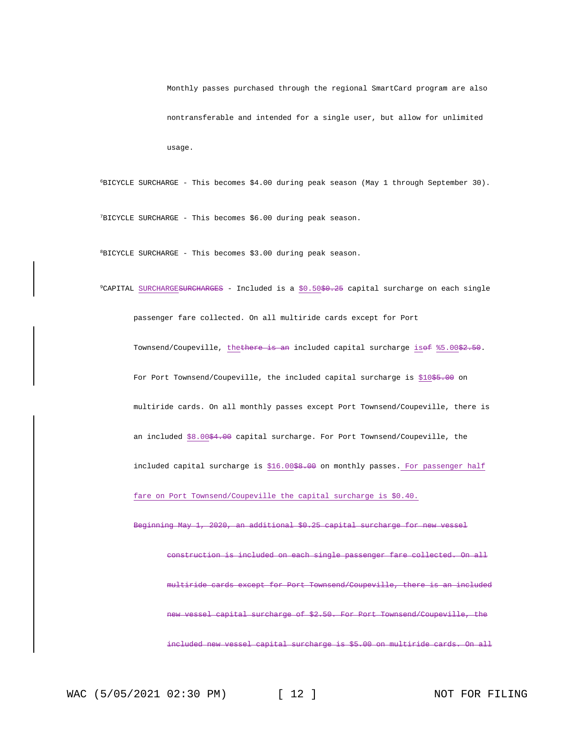Monthly passes purchased through the regional SmartCard program are also nontransferable and intended for a single user, but allow for unlimited usage.

<sup>6</sup>BICYCLE SURCHARGE - This becomes \$4.00 during peak season (May 1 through September 30).

<sup>7</sup>BICYCLE SURCHARGE - This becomes \$6.00 during peak season.

<sup>8</sup>BICYCLE SURCHARGE - This becomes \$3.00 during peak season.

 $9$ CAPITAL SURCHARGE<del>SURCHARGES</del> - Included is a  $$0.50$$ \$0.25 capital surcharge on each single passenger fare collected. On all multiride cards except for Port Townsend/Coupeville, thethere is an included capital surcharge isof %5.00\$2.50. For Port Townsend/Coupeville, the included capital surcharge is \$10\$5.00 on multiride cards. On all monthly passes except Port Townsend/Coupeville, there is an included \$8.00\$4.00 capital surcharge. For Port Townsend/Coupeville, the included capital surcharge is \$16.00<del>\$8.00</del> on monthly passes. For passenger half fare on Port Townsend/Coupeville the capital surcharge is \$0.40. Beginning May 1, 2020, an additional \$0.25 capital surcharge for new vessel construction is included on each single passenger fare collected. On all multiride cards except for Port Townsend/Coupeville, there is an included vessel capital surcharge of \$2.50. For Port Townsend/Coupeville, the included new vessel capital surcharge is \$5.00 on multiride cards. On all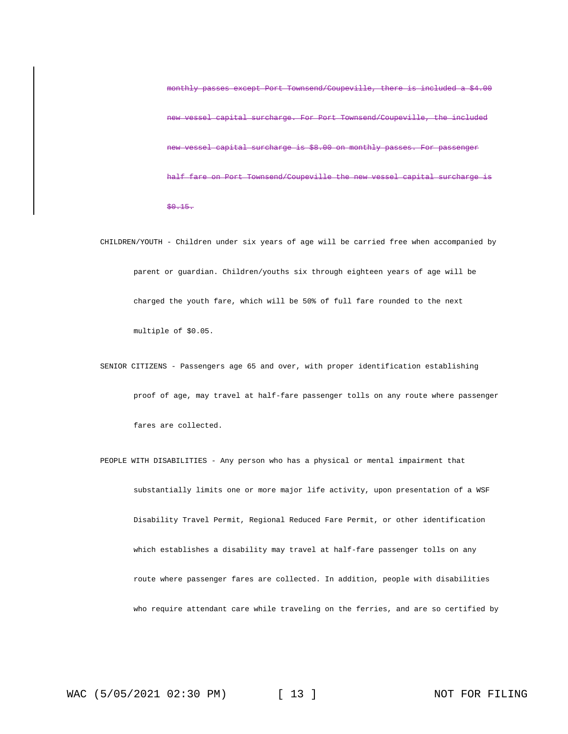monthly passes except Port Townsend/Coupeville, there is included a \$4.00 vessel capital surcharge. For Port Townsend/Coupeville, the included vessel capital surcharge is \$8.00 on monthly passes. For passenger Port Townsend/Coupeville the new vessel capital surcharge \$0.15.

- CHILDREN/YOUTH Children under six years of age will be carried free when accompanied by parent or guardian. Children/youths six through eighteen years of age will be charged the youth fare, which will be 50% of full fare rounded to the next multiple of \$0.05.
- SENIOR CITIZENS Passengers age 65 and over, with proper identification establishing proof of age, may travel at half-fare passenger tolls on any route where passenger fares are collected.

PEOPLE WITH DISABILITIES - Any person who has a physical or mental impairment that substantially limits one or more major life activity, upon presentation of a WSF Disability Travel Permit, Regional Reduced Fare Permit, or other identification which establishes a disability may travel at half-fare passenger tolls on any route where passenger fares are collected. In addition, people with disabilities who require attendant care while traveling on the ferries, and are so certified by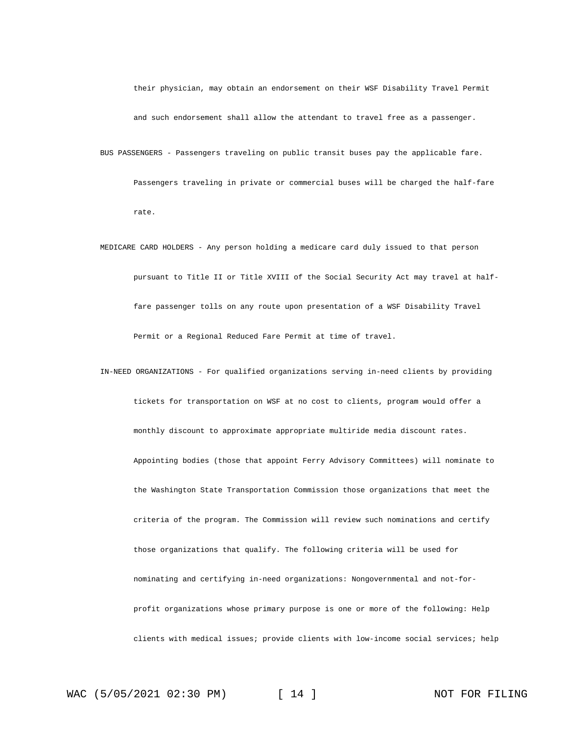their physician, may obtain an endorsement on their WSF Disability Travel Permit and such endorsement shall allow the attendant to travel free as a passenger.

BUS PASSENGERS - Passengers traveling on public transit buses pay the applicable fare. Passengers traveling in private or commercial buses will be charged the half-fare rate.

MEDICARE CARD HOLDERS - Any person holding a medicare card duly issued to that person pursuant to Title II or Title XVIII of the Social Security Act may travel at halffare passenger tolls on any route upon presentation of a WSF Disability Travel Permit or a Regional Reduced Fare Permit at time of travel.

IN-NEED ORGANIZATIONS - For qualified organizations serving in-need clients by providing tickets for transportation on WSF at no cost to clients, program would offer a monthly discount to approximate appropriate multiride media discount rates. Appointing bodies (those that appoint Ferry Advisory Committees) will nominate to the Washington State Transportation Commission those organizations that meet the criteria of the program. The Commission will review such nominations and certify those organizations that qualify. The following criteria will be used for nominating and certifying in-need organizations: Nongovernmental and not-forprofit organizations whose primary purpose is one or more of the following: Help clients with medical issues; provide clients with low-income social services; help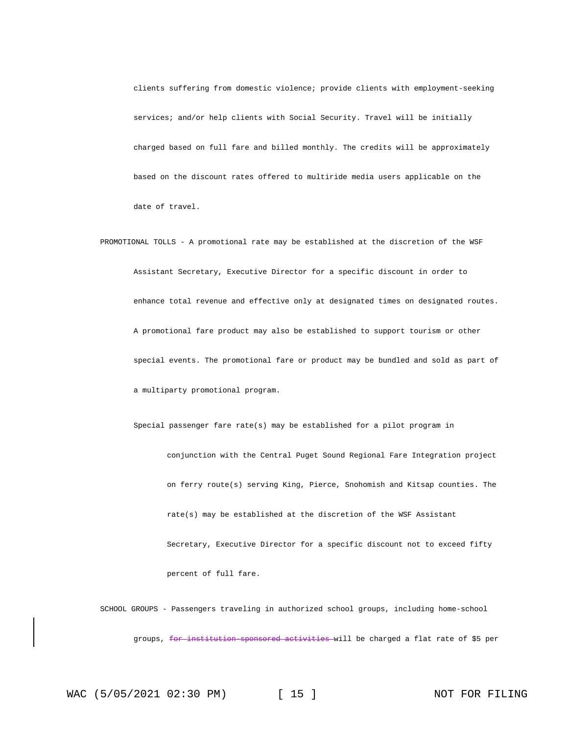clients suffering from domestic violence; provide clients with employment-seeking services; and/or help clients with Social Security. Travel will be initially charged based on full fare and billed monthly. The credits will be approximately based on the discount rates offered to multiride media users applicable on the date of travel.

PROMOTIONAL TOLLS - A promotional rate may be established at the discretion of the WSF Assistant Secretary, Executive Director for a specific discount in order to enhance total revenue and effective only at designated times on designated routes. A promotional fare product may also be established to support tourism or other special events. The promotional fare or product may be bundled and sold as part of a multiparty promotional program.

Special passenger fare rate(s) may be established for a pilot program in conjunction with the Central Puget Sound Regional Fare Integration project on ferry route(s) serving King, Pierce, Snohomish and Kitsap counties. The rate(s) may be established at the discretion of the WSF Assistant Secretary, Executive Director for a specific discount not to exceed fifty percent of full fare.

SCHOOL GROUPS - Passengers traveling in authorized school groups, including home-school groups, for institution sponsored activities will be charged a flat rate of \$5 per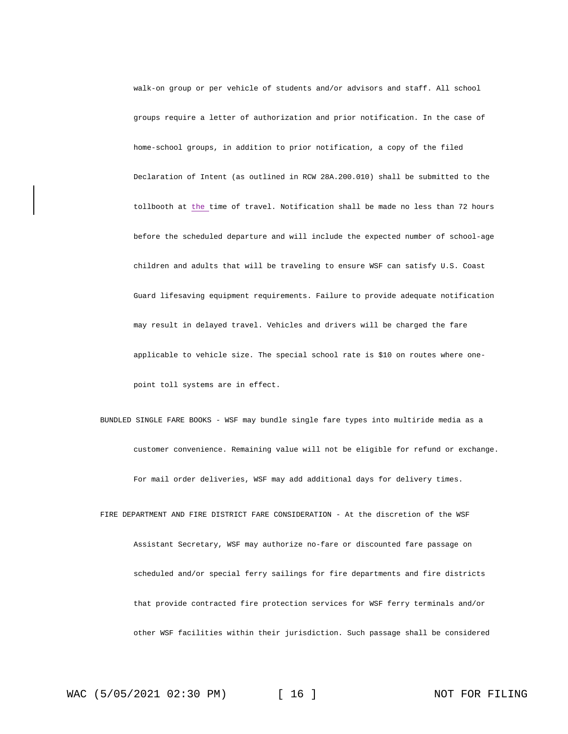walk-on group or per vehicle of students and/or advisors and staff. All school groups require a letter of authorization and prior notification. In the case of home-school groups, in addition to prior notification, a copy of the filed Declaration of Intent (as outlined in RCW 28A.200.010) shall be submitted to the tollbooth at the time of travel. Notification shall be made no less than 72 hours before the scheduled departure and will include the expected number of school-age children and adults that will be traveling to ensure WSF can satisfy U.S. Coast Guard lifesaving equipment requirements. Failure to provide adequate notification may result in delayed travel. Vehicles and drivers will be charged the fare applicable to vehicle size. The special school rate is \$10 on routes where onepoint toll systems are in effect.

BUNDLED SINGLE FARE BOOKS - WSF may bundle single fare types into multiride media as a customer convenience. Remaining value will not be eligible for refund or exchange. For mail order deliveries, WSF may add additional days for delivery times.

FIRE DEPARTMENT AND FIRE DISTRICT FARE CONSIDERATION - At the discretion of the WSF Assistant Secretary, WSF may authorize no-fare or discounted fare passage on scheduled and/or special ferry sailings for fire departments and fire districts that provide contracted fire protection services for WSF ferry terminals and/or other WSF facilities within their jurisdiction. Such passage shall be considered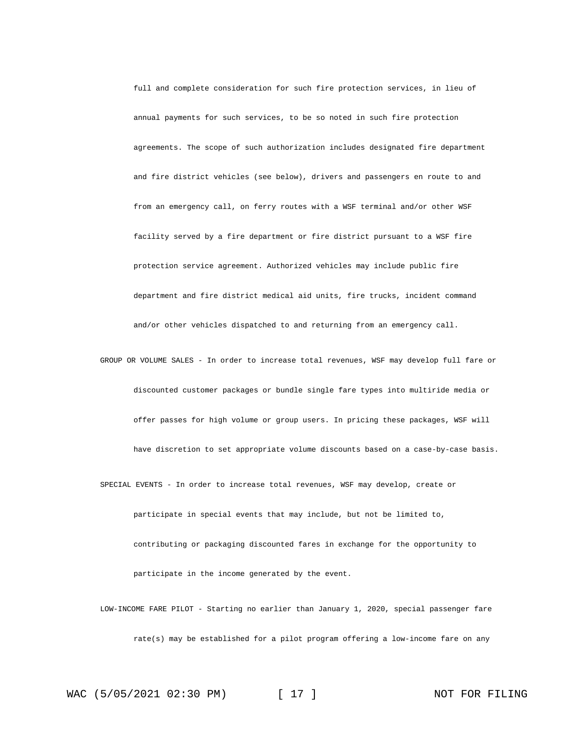full and complete consideration for such fire protection services, in lieu of annual payments for such services, to be so noted in such fire protection agreements. The scope of such authorization includes designated fire department and fire district vehicles (see below), drivers and passengers en route to and from an emergency call, on ferry routes with a WSF terminal and/or other WSF facility served by a fire department or fire district pursuant to a WSF fire protection service agreement. Authorized vehicles may include public fire department and fire district medical aid units, fire trucks, incident command and/or other vehicles dispatched to and returning from an emergency call.

GROUP OR VOLUME SALES - In order to increase total revenues, WSF may develop full fare or discounted customer packages or bundle single fare types into multiride media or offer passes for high volume or group users. In pricing these packages, WSF will have discretion to set appropriate volume discounts based on a case-by-case basis.

SPECIAL EVENTS - In order to increase total revenues, WSF may develop, create or participate in special events that may include, but not be limited to, contributing or packaging discounted fares in exchange for the opportunity to participate in the income generated by the event.

LOW-INCOME FARE PILOT - Starting no earlier than January 1, 2020, special passenger fare rate(s) may be established for a pilot program offering a low-income fare on any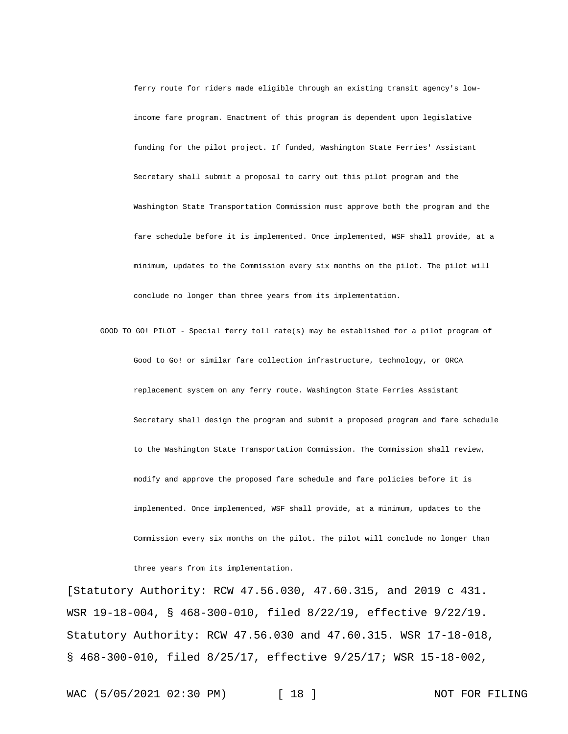ferry route for riders made eligible through an existing transit agency's lowincome fare program. Enactment of this program is dependent upon legislative funding for the pilot project. If funded, Washington State Ferries' Assistant Secretary shall submit a proposal to carry out this pilot program and the Washington State Transportation Commission must approve both the program and the fare schedule before it is implemented. Once implemented, WSF shall provide, at a minimum, updates to the Commission every six months on the pilot. The pilot will conclude no longer than three years from its implementation.

GOOD TO GO! PILOT - Special ferry toll rate(s) may be established for a pilot program of Good to Go! or similar fare collection infrastructure, technology, or ORCA replacement system on any ferry route. Washington State Ferries Assistant Secretary shall design the program and submit a proposed program and fare schedule to the Washington State Transportation Commission. The Commission shall review, modify and approve the proposed fare schedule and fare policies before it is implemented. Once implemented, WSF shall provide, at a minimum, updates to the Commission every six months on the pilot. The pilot will conclude no longer than

three years from its implementation.

[Statutory Authority: RCW 47.56.030, 47.60.315, and 2019 c 431. WSR 19-18-004, § 468-300-010, filed 8/22/19, effective 9/22/19. Statutory Authority: RCW 47.56.030 and 47.60.315. WSR 17-18-018, § 468-300-010, filed 8/25/17, effective 9/25/17; WSR 15-18-002,

WAC (5/05/2021 02:30 PM) [ 18 ] NOT FOR FILING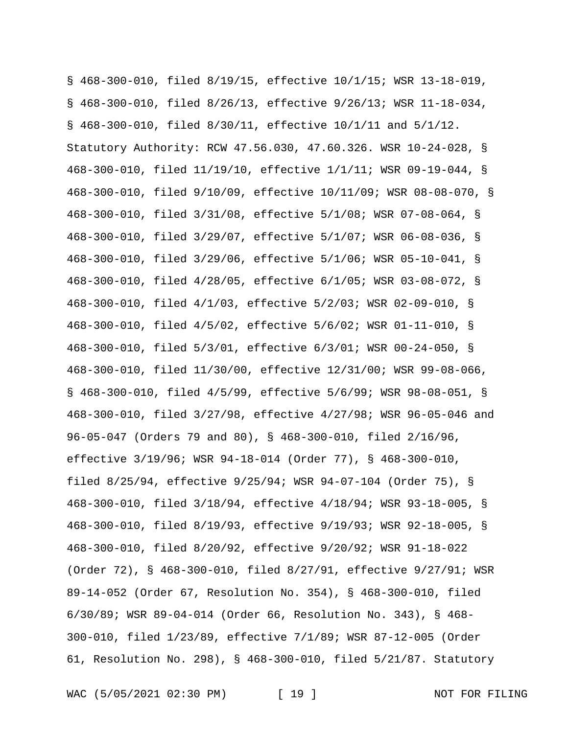§ 468-300-010, filed 8/19/15, effective 10/1/15; WSR 13-18-019, § 468-300-010, filed 8/26/13, effective 9/26/13; WSR 11-18-034, § 468-300-010, filed 8/30/11, effective 10/1/11 and 5/1/12. Statutory Authority: RCW 47.56.030, 47.60.326. WSR 10-24-028, § 468-300-010, filed 11/19/10, effective 1/1/11; WSR 09-19-044, § 468-300-010, filed 9/10/09, effective 10/11/09; WSR 08-08-070, § 468-300-010, filed 3/31/08, effective 5/1/08; WSR 07-08-064, § 468-300-010, filed 3/29/07, effective 5/1/07; WSR 06-08-036, § 468-300-010, filed 3/29/06, effective 5/1/06; WSR 05-10-041, § 468-300-010, filed 4/28/05, effective 6/1/05; WSR 03-08-072, § 468-300-010, filed 4/1/03, effective 5/2/03; WSR 02-09-010, § 468-300-010, filed 4/5/02, effective 5/6/02; WSR 01-11-010, § 468-300-010, filed 5/3/01, effective 6/3/01; WSR 00-24-050, § 468-300-010, filed 11/30/00, effective 12/31/00; WSR 99-08-066, § 468-300-010, filed 4/5/99, effective 5/6/99; WSR 98-08-051, § 468-300-010, filed 3/27/98, effective 4/27/98; WSR 96-05-046 and 96-05-047 (Orders 79 and 80), § 468-300-010, filed 2/16/96, effective 3/19/96; WSR 94-18-014 (Order 77), § 468-300-010, filed 8/25/94, effective 9/25/94; WSR 94-07-104 (Order 75), § 468-300-010, filed 3/18/94, effective 4/18/94; WSR 93-18-005, § 468-300-010, filed 8/19/93, effective 9/19/93; WSR 92-18-005, § 468-300-010, filed 8/20/92, effective 9/20/92; WSR 91-18-022 (Order 72), § 468-300-010, filed 8/27/91, effective 9/27/91; WSR 89-14-052 (Order 67, Resolution No. 354), § 468-300-010, filed 6/30/89; WSR 89-04-014 (Order 66, Resolution No. 343), § 468- 300-010, filed 1/23/89, effective 7/1/89; WSR 87-12-005 (Order 61, Resolution No. 298), § 468-300-010, filed 5/21/87. Statutory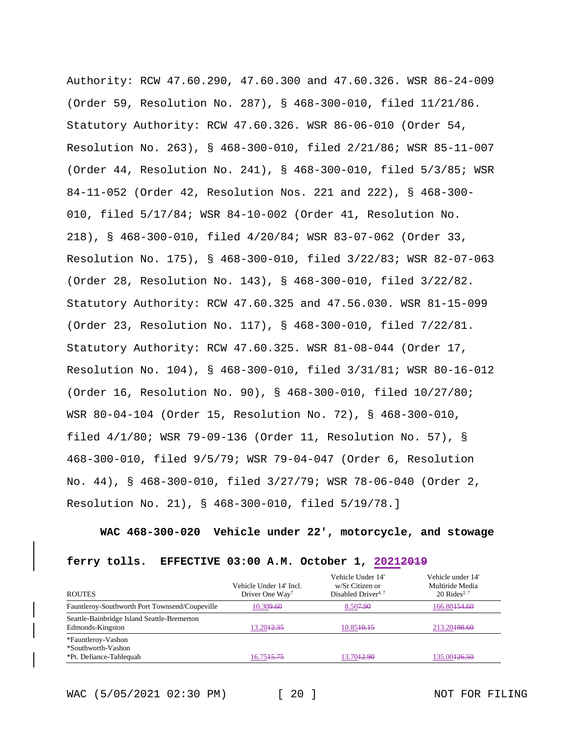Authority: RCW 47.60.290, 47.60.300 and 47.60.326. WSR 86-24-009 (Order 59, Resolution No. 287), § 468-300-010, filed 11/21/86. Statutory Authority: RCW 47.60.326. WSR 86-06-010 (Order 54, Resolution No. 263), § 468-300-010, filed 2/21/86; WSR 85-11-007 (Order 44, Resolution No. 241), § 468-300-010, filed 5/3/85; WSR 84-11-052 (Order 42, Resolution Nos. 221 and 222), § 468-300- 010, filed 5/17/84; WSR 84-10-002 (Order 41, Resolution No. 218), § 468-300-010, filed 4/20/84; WSR 83-07-062 (Order 33, Resolution No. 175), § 468-300-010, filed 3/22/83; WSR 82-07-063 (Order 28, Resolution No. 143), § 468-300-010, filed 3/22/82. Statutory Authority: RCW 47.60.325 and 47.56.030. WSR 81-15-099 (Order 23, Resolution No. 117), § 468-300-010, filed 7/22/81. Statutory Authority: RCW 47.60.325. WSR 81-08-044 (Order 17, Resolution No. 104), § 468-300-010, filed 3/31/81; WSR 80-16-012 (Order 16, Resolution No. 90), § 468-300-010, filed 10/27/80; WSR 80-04-104 (Order 15, Resolution No. 72), § 468-300-010, filed 4/1/80; WSR 79-09-136 (Order 11, Resolution No. 57), § 468-300-010, filed 9/5/79; WSR 79-04-047 (Order 6, Resolution No. 44), § 468-300-010, filed 3/27/79; WSR 78-06-040 (Order 2, Resolution No. 21), § 468-300-010, filed 5/19/78.]

**WAC 468-300-020 Vehicle under 22', motorcycle, and stowage** 

#### **ferry tolls. EFFECTIVE 03:00 A.M. October 1, 20212019**

| <b>ROUTES</b>                                                       | Vehicle Under 14' Incl.<br>Driver One Way <sup>7</sup> | Vehicle Under 14'<br>w/Sr Citizen or<br>Disabled Driver <sup>4, 7</sup> | Vehicle under 14'<br>Multiride Media<br>20 Rides <sup>2, 7</sup> |
|---------------------------------------------------------------------|--------------------------------------------------------|-------------------------------------------------------------------------|------------------------------------------------------------------|
| Fauntleroy-Southworth Port Townsend/Coupeville                      | 10.309,60                                              | 8.50 <del>7.90</del>                                                    | 166.80 <del>154.60</del>                                         |
| Seattle-Bainbridge Island Seattle-Bremerton<br>Edmonds-Kingston     | 13.20 <del>12.35</del>                                 | 10.8540.15                                                              | 213.20 <del>198.60</del>                                         |
| *Fauntleroy-Vashon<br>*Southworth-Vashon<br>*Pt. Defiance-Tahlequah | 16.75 <del>15.75</del>                                 | 13.70 <del>12.90</del>                                                  | 135.00 <del>126.50</del>                                         |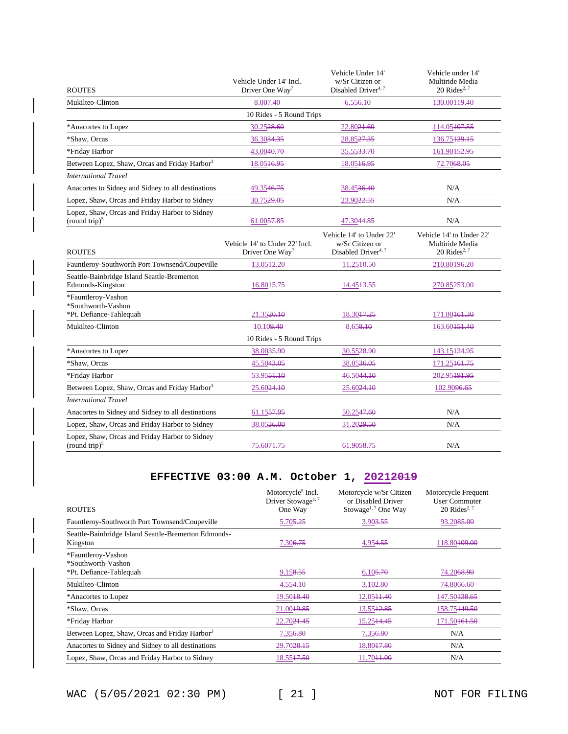| <b>ROUTES</b>                                                       | Vehicle Under 14' Incl.<br>Driver One Way <sup>7</sup>        | Vehicle Under 14'<br>w/Sr Citizen or<br>Disabled Driver <sup>4,7</sup>         | Vehicle under 14'<br>Multiride Media<br>$20$ Rides <sup>2, 7</sup>      |
|---------------------------------------------------------------------|---------------------------------------------------------------|--------------------------------------------------------------------------------|-------------------------------------------------------------------------|
| Mukilteo-Clinton                                                    | 8.007.40                                                      | 6.556.10                                                                       | 130.00 <del>119.40</del>                                                |
|                                                                     | 10 Rides - 5 Round Trips                                      |                                                                                |                                                                         |
| *Anacortes to Lopez                                                 | 30.2528.60                                                    | 22.8021.60                                                                     | 114.05107.55                                                            |
| *Shaw, Orcas                                                        | 36.3034.35                                                    | 28.8527.35                                                                     | 136.75129.15                                                            |
| *Friday Harbor                                                      | 43.0040.70                                                    | 35.5533.70                                                                     | 161.90 <del>152.95</del>                                                |
| Between Lopez, Shaw, Orcas and Friday Harbor <sup>3</sup>           | 18.05 <del>16.95</del>                                        | 18.05 <del>16.95</del>                                                         | 72.7068.05                                                              |
| <b>International Travel</b>                                         |                                                               |                                                                                |                                                                         |
| Anacortes to Sidney and Sidney to all destinations                  | 49.3546.75                                                    | 38.4536.40                                                                     | N/A                                                                     |
| Lopez, Shaw, Orcas and Friday Harbor to Sidney                      | 30.7529.05                                                    | 23.9022.55                                                                     | N/A                                                                     |
| Lopez, Shaw, Orcas and Friday Harbor to Sidney<br>(round trip) $5$  | 61.0057.85                                                    | 47.3044.85                                                                     | N/A                                                                     |
| <b>ROUTES</b>                                                       | Vehicle 14' to Under 22' Incl.<br>Driver One Way <sup>7</sup> | Vehicle 14' to Under 22'<br>w/Sr Citizen or<br>Disabled Driver <sup>4, 7</sup> | Vehicle 14' to Under 22'<br>Multiride Media<br>20 Rides <sup>2, 7</sup> |
| Fauntleroy-Southworth Port Townsend/Coupeville                      | 13.0542.20                                                    | 11.25+0.50                                                                     | 210.80 <del>196.20</del>                                                |
| Seattle-Bainbridge Island Seattle-Bremerton<br>Edmonds-Kingston     | 16.8045.75                                                    | 14.45 <del>13.55</del>                                                         | 270.85 <del>253.00</del>                                                |
| *Fauntleroy-Vashon<br>*Southworth-Vashon<br>*Pt. Defiance-Tahlequah | 21.3520.10                                                    | 18.30 <del>17.25</del>                                                         | 171.80 <del>161.30</del>                                                |
| Mukilteo-Clinton                                                    | 10.109.40                                                     | 8.658.10                                                                       | 163.60451.40                                                            |
|                                                                     | 10 Rides - 5 Round Trips                                      |                                                                                |                                                                         |
| *Anacortes to Lopez                                                 | 38.0035.90                                                    | 30.5528.90                                                                     | 143.15434.95                                                            |
| *Shaw, Orcas                                                        | 45.5043.05                                                    | 38.05 <del>36.05</del>                                                         | 171.25461.75                                                            |
| *Friday Harbor                                                      | 53.95 <del>51.10</del>                                        | 46.5044.10                                                                     | 202.95 <del>191.95</del>                                                |
| Between Lopez, Shaw, Orcas and Friday Harbor <sup>3</sup>           | 25.6024.10                                                    | 25.6024.10                                                                     | 102.9096.65                                                             |
| <b>International Travel</b>                                         |                                                               |                                                                                |                                                                         |
| Anacortes to Sidney and Sidney to all destinations                  | 61.1557.95                                                    | 50.2547.60                                                                     | N/A                                                                     |
| Lopez, Shaw, Orcas and Friday Harbor to Sidney                      | 38.05 <del>36.00</del>                                        | 31.20 <del>29.50</del>                                                         | N/A                                                                     |
| Lopez, Shaw, Orcas and Friday Harbor to Sidney<br>(round trip) $5$  | 75.60 <del>71.75</del>                                        | 61.9058.75                                                                     | N/A                                                                     |

# **EFFECTIVE 03:00 A.M. October 1, 20212019**

| <b>ROUTES</b>                                                       | Motorcycle <sup>5</sup> Incl.<br>Driver Stowage <sup>1,7</sup><br>One Way | Motorcycle w/Sr Citizen<br>or Disabled Driver<br>Stowage <sup>1, 7</sup> One Way | Motorcycle Frequent<br>User Commuter<br>20 Rides <sup>2, 7</sup> |
|---------------------------------------------------------------------|---------------------------------------------------------------------------|----------------------------------------------------------------------------------|------------------------------------------------------------------|
| Fauntleroy-Southworth Port Townsend/Coupeville                      | 5.705.25                                                                  | 3.903.55                                                                         | 93.2085.00                                                       |
| Seattle-Bainbridge Island Seattle-Bremerton Edmonds-<br>Kingston    | 7.306.75                                                                  | 4.954.55                                                                         | 118.80 <del>109.00</del>                                         |
| *Fauntleroy-Vashon<br>*Southworth-Vashon<br>*Pt. Defiance-Tahlequah | 9.158.55                                                                  | 6.105.70                                                                         | 74.2068.90                                                       |
| Mukilteo-Clinton                                                    | 4.554.10                                                                  | 3.102.80                                                                         | 74.8066.60                                                       |
| *Anacortes to Lopez                                                 | 19.50 <del>18.40</del>                                                    | 12.05++.40                                                                       | 147.50 <del>138.65</del>                                         |
| *Shaw, Orcas                                                        | 21.0049.85                                                                | 13.5542.85                                                                       | 158.75149.50                                                     |
| *Friday Harbor                                                      | 22.70 <del>21.45</del>                                                    | 15.2544.45                                                                       | 171.50 <del>161.50</del>                                         |
| Between Lopez, Shaw, Orcas and Friday Harbor <sup>3</sup>           | 7.356.80                                                                  | 7.356.80                                                                         | N/A                                                              |
| Anacortes to Sidney and Sidney to all destinations                  | 29.70 <del>28.15</del>                                                    | 18.8047.80                                                                       | N/A                                                              |
| Lopez, Shaw, Orcas and Friday Harbor to Sidney                      | 18.55 <del>17.50</del>                                                    | 11.70 <del>11.00</del>                                                           | N/A                                                              |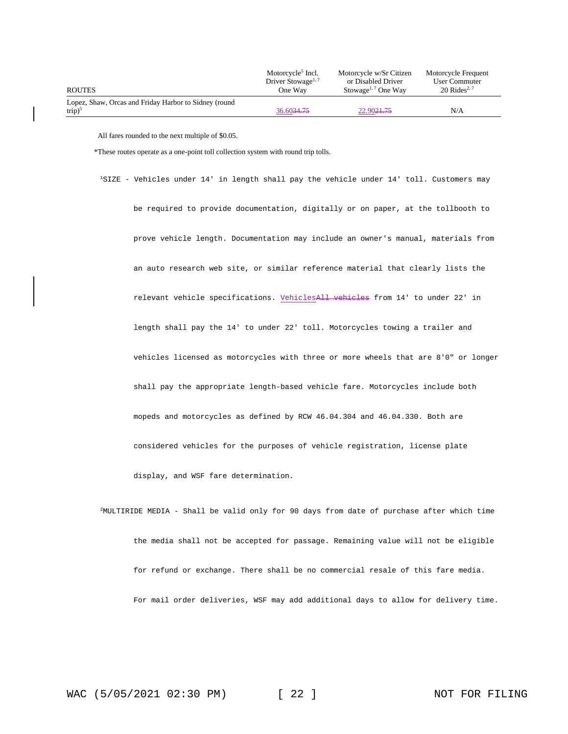|                                                        | Motorcycle <sup>5</sup> Incl.<br>Driver Stowage <sup>1, 7</sup> | Motorcycle w/Sr Citizen<br>or Disabled Driver | Motorcycle Frequent<br>User Commuter |
|--------------------------------------------------------|-----------------------------------------------------------------|-----------------------------------------------|--------------------------------------|
| <b>ROUTES</b>                                          | One Way                                                         | Stowage <sup>1, 7</sup> One Way               | $20$ Rides <sup>2, 7</sup>           |
| Lopez, Shaw, Orcas and Friday Harbor to Sidney (round) |                                                                 |                                               |                                      |
| $trip)^5$                                              | 36.6034.75                                                      | 22.9021.75                                    | N/A                                  |

All fares rounded to the next multiple of \$0.05.

\*These routes operate as a one-point toll collection system with round trip tolls.

<sup>1</sup>SIZE - Vehicles under 14' in length shall pay the vehicle under 14' toll. Customers may be required to provide documentation, digitally or on paper, at the tollbooth to prove vehicle length. Documentation may include an owner's manual, materials from an auto research web site, or similar reference material that clearly lists the relevant vehicle specifications. VehiclesAll vehicles from 14' to under 22' in length shall pay the 14' to under 22' toll. Motorcycles towing a trailer and vehicles licensed as motorcycles with three or more wheels that are 8'0" or longer shall pay the appropriate length-based vehicle fare. Motorcycles include both mopeds and motorcycles as defined by RCW 46.04.304 and 46.04.330. Both are considered vehicles for the purposes of vehicle registration, license plate display, and WSF fare determination.

<sup>2</sup>MULTIRIDE MEDIA - Shall be valid only for 90 days from date of purchase after which time the media shall not be accepted for passage. Remaining value will not be eligible for refund or exchange. There shall be no commercial resale of this fare media. For mail order deliveries, WSF may add additional days to allow for delivery time.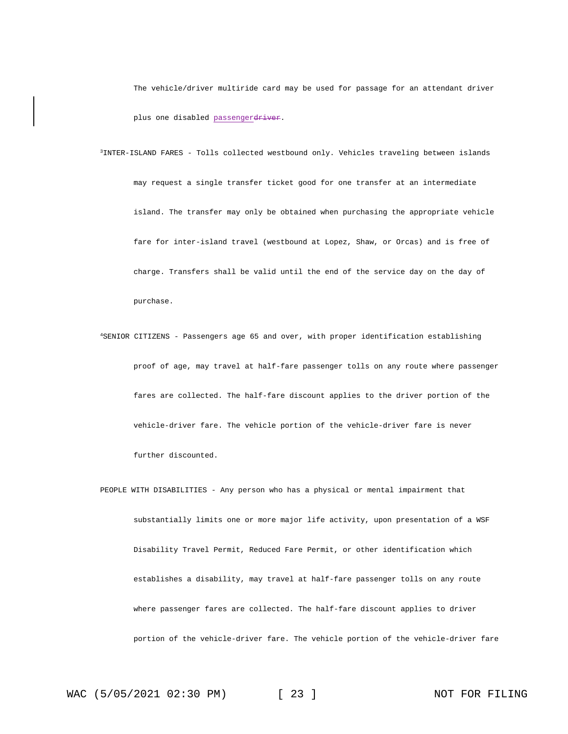The vehicle/driver multiride card may be used for passage for an attendant driver plus one disabled passengerdriver.

- <sup>3</sup>INTER-ISLAND FARES Tolls collected westbound only. Vehicles traveling between islands may request a single transfer ticket good for one transfer at an intermediate island. The transfer may only be obtained when purchasing the appropriate vehicle fare for inter-island travel (westbound at Lopez, Shaw, or Orcas) and is free of charge. Transfers shall be valid until the end of the service day on the day of purchase.
- <sup>4</sup>SENIOR CITIZENS Passengers age 65 and over, with proper identification establishing proof of age, may travel at half-fare passenger tolls on any route where passenger fares are collected. The half-fare discount applies to the driver portion of the vehicle-driver fare. The vehicle portion of the vehicle-driver fare is never further discounted.
- PEOPLE WITH DISABILITIES Any person who has a physical or mental impairment that substantially limits one or more major life activity, upon presentation of a WSF Disability Travel Permit, Reduced Fare Permit, or other identification which establishes a disability, may travel at half-fare passenger tolls on any route where passenger fares are collected. The half-fare discount applies to driver portion of the vehicle-driver fare. The vehicle portion of the vehicle-driver fare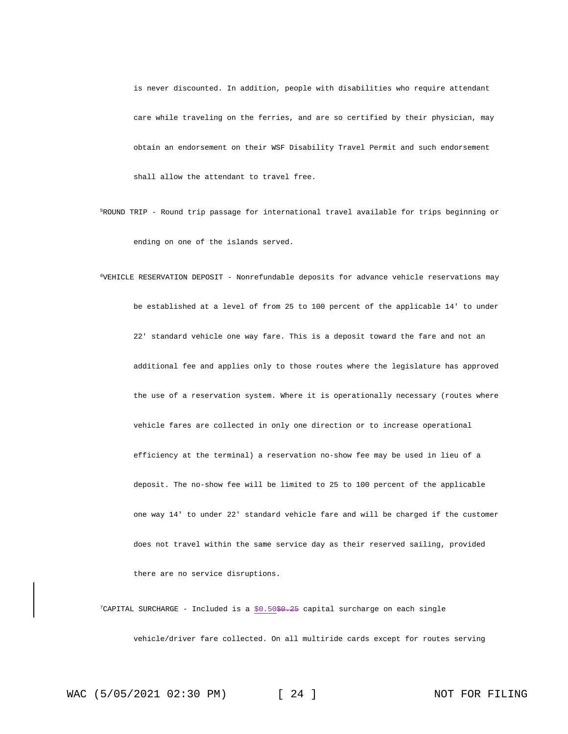is never discounted. In addition, people with disabilities who require attendant care while traveling on the ferries, and are so certified by their physician, may obtain an endorsement on their WSF Disability Travel Permit and such endorsement shall allow the attendant to travel free.

<sup>5</sup>ROUND TRIP - Round trip passage for international travel available for trips beginning or ending on one of the islands served.

<sup>6</sup>VEHICLE RESERVATION DEPOSIT - Nonrefundable deposits for advance vehicle reservations may be established at a level of from 25 to 100 percent of the applicable 14' to under 22' standard vehicle one way fare. This is a deposit toward the fare and not an additional fee and applies only to those routes where the legislature has approved the use of a reservation system. Where it is operationally necessary (routes where vehicle fares are collected in only one direction or to increase operational efficiency at the terminal) a reservation no-show fee may be used in lieu of a deposit. The no-show fee will be limited to 25 to 100 percent of the applicable one way 14' to under 22' standard vehicle fare and will be charged if the customer does not travel within the same service day as their reserved sailing, provided there are no service disruptions.

<sup>7</sup>CAPITAL SURCHARGE - Included is a \$0.50\$0.25 capital surcharge on each single vehicle/driver fare collected. On all multiride cards except for routes serving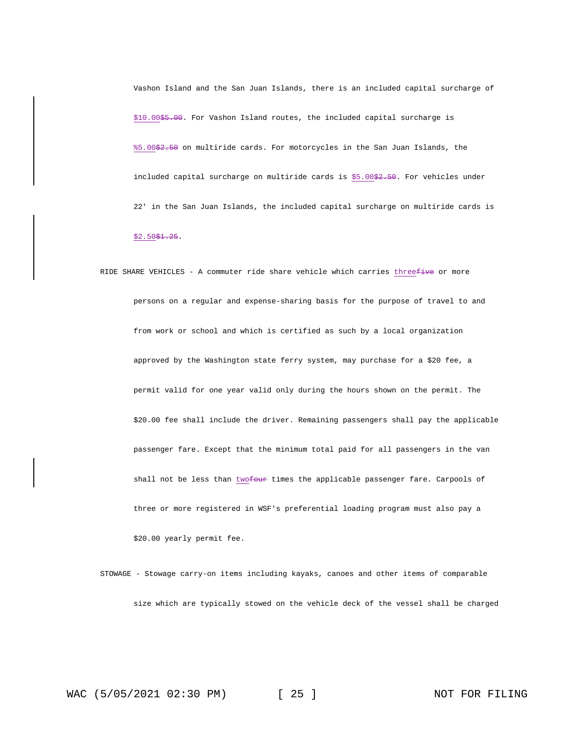Vashon Island and the San Juan Islands, there is an included capital surcharge of \$10.00\$5.00. For Vashon Island routes, the included capital surcharge is %5.00\$2.50 on multiride cards. For motorcycles in the San Juan Islands, the included capital surcharge on multiride cards is \$5.00\$2.50. For vehicles under 22' in the San Juan Islands, the included capital surcharge on multiride cards is  $$2.50$1.25.$ 

RIDE SHARE VEHICLES - A commuter ride share vehicle which carries threefive or more persons on a regular and expense-sharing basis for the purpose of travel to and from work or school and which is certified as such by a local organization approved by the Washington state ferry system, may purchase for a \$20 fee, a permit valid for one year valid only during the hours shown on the permit. The \$20.00 fee shall include the driver. Remaining passengers shall pay the applicable passenger fare. Except that the minimum total paid for all passengers in the van shall not be less than twofour times the applicable passenger fare. Carpools of three or more registered in WSF's preferential loading program must also pay a \$20.00 yearly permit fee.

STOWAGE - Stowage carry-on items including kayaks, canoes and other items of comparable size which are typically stowed on the vehicle deck of the vessel shall be charged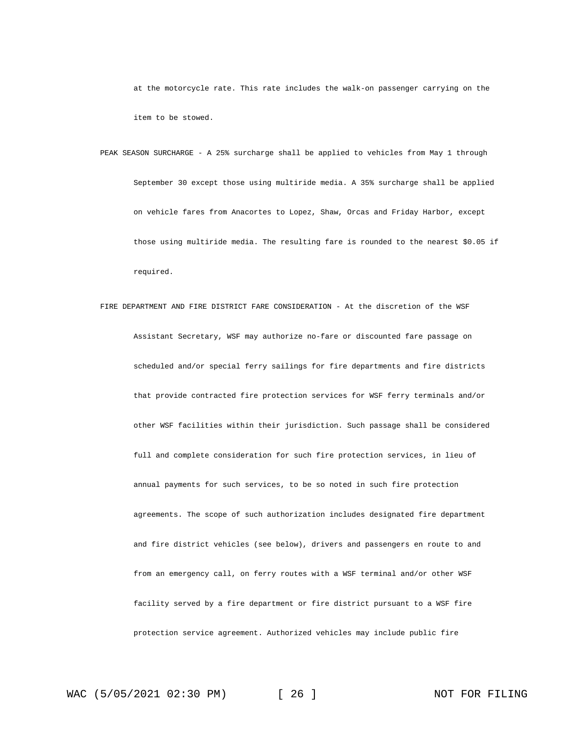at the motorcycle rate. This rate includes the walk-on passenger carrying on the item to be stowed.

- PEAK SEASON SURCHARGE A 25% surcharge shall be applied to vehicles from May 1 through September 30 except those using multiride media. A 35% surcharge shall be applied on vehicle fares from Anacortes to Lopez, Shaw, Orcas and Friday Harbor, except those using multiride media. The resulting fare is rounded to the nearest \$0.05 if required.
- FIRE DEPARTMENT AND FIRE DISTRICT FARE CONSIDERATION At the discretion of the WSF Assistant Secretary, WSF may authorize no-fare or discounted fare passage on scheduled and/or special ferry sailings for fire departments and fire districts that provide contracted fire protection services for WSF ferry terminals and/or other WSF facilities within their jurisdiction. Such passage shall be considered full and complete consideration for such fire protection services, in lieu of annual payments for such services, to be so noted in such fire protection agreements. The scope of such authorization includes designated fire department and fire district vehicles (see below), drivers and passengers en route to and from an emergency call, on ferry routes with a WSF terminal and/or other WSF facility served by a fire department or fire district pursuant to a WSF fire protection service agreement. Authorized vehicles may include public fire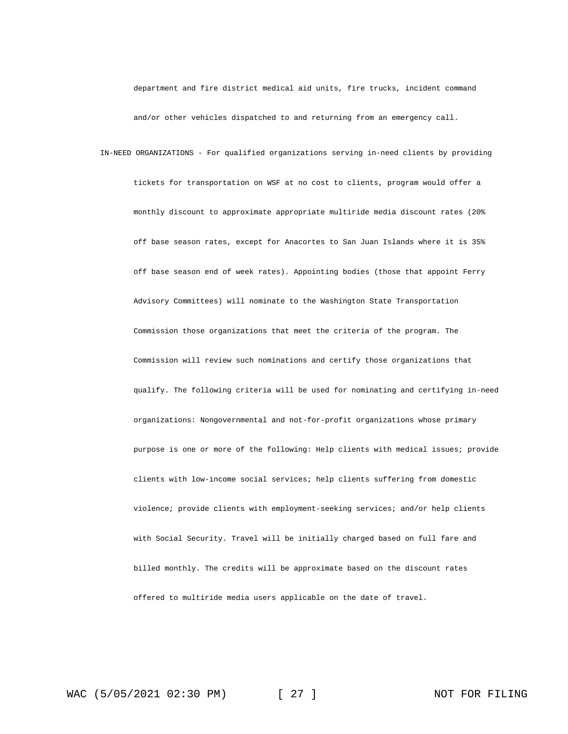department and fire district medical aid units, fire trucks, incident command and/or other vehicles dispatched to and returning from an emergency call.

IN-NEED ORGANIZATIONS - For qualified organizations serving in-need clients by providing tickets for transportation on WSF at no cost to clients, program would offer a monthly discount to approximate appropriate multiride media discount rates (20% off base season rates, except for Anacortes to San Juan Islands where it is 35% off base season end of week rates). Appointing bodies (those that appoint Ferry Advisory Committees) will nominate to the Washington State Transportation Commission those organizations that meet the criteria of the program. The Commission will review such nominations and certify those organizations that qualify. The following criteria will be used for nominating and certifying in-need organizations: Nongovernmental and not-for-profit organizations whose primary purpose is one or more of the following: Help clients with medical issues; provide clients with low-income social services; help clients suffering from domestic violence; provide clients with employment-seeking services; and/or help clients with Social Security. Travel will be initially charged based on full fare and billed monthly. The credits will be approximate based on the discount rates offered to multiride media users applicable on the date of travel.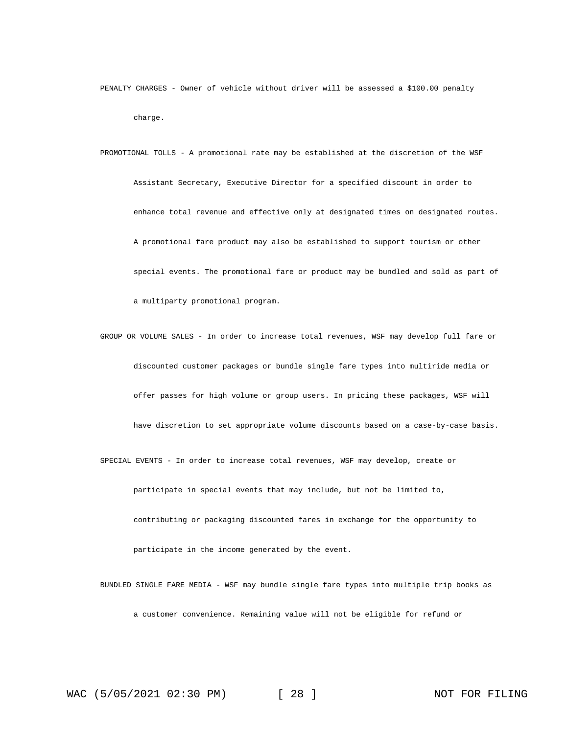PENALTY CHARGES - Owner of vehicle without driver will be assessed a \$100.00 penalty charge.

PROMOTIONAL TOLLS - A promotional rate may be established at the discretion of the WSF Assistant Secretary, Executive Director for a specified discount in order to enhance total revenue and effective only at designated times on designated routes. A promotional fare product may also be established to support tourism or other special events. The promotional fare or product may be bundled and sold as part of a multiparty promotional program.

GROUP OR VOLUME SALES - In order to increase total revenues, WSF may develop full fare or discounted customer packages or bundle single fare types into multiride media or offer passes for high volume or group users. In pricing these packages, WSF will have discretion to set appropriate volume discounts based on a case-by-case basis. SPECIAL EVENTS - In order to increase total revenues, WSF may develop, create or participate in special events that may include, but not be limited to,

contributing or packaging discounted fares in exchange for the opportunity to participate in the income generated by the event.

BUNDLED SINGLE FARE MEDIA - WSF may bundle single fare types into multiple trip books as a customer convenience. Remaining value will not be eligible for refund or

WAC (5/05/2021 02:30 PM) [ 28 ] NOT FOR FILING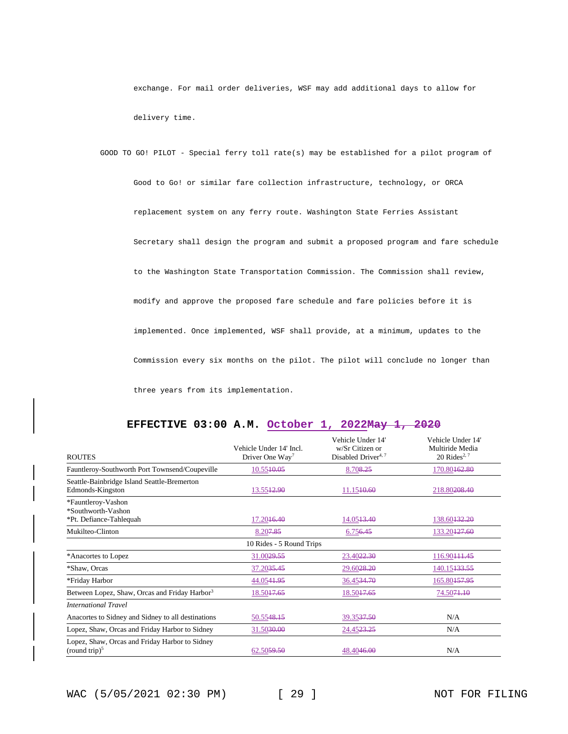exchange. For mail order deliveries, WSF may add additional days to allow for delivery time.

GOOD TO GO! PILOT - Special ferry toll rate(s) may be established for a pilot program of Good to Go! or similar fare collection infrastructure, technology, or ORCA replacement system on any ferry route. Washington State Ferries Assistant Secretary shall design the program and submit a proposed program and fare schedule to the Washington State Transportation Commission. The Commission shall review, modify and approve the proposed fare schedule and fare policies before it is implemented. Once implemented, WSF shall provide, at a minimum, updates to the Commission every six months on the pilot. The pilot will conclude no longer than three years from its implementation.

| EFFECTIVE 03:00 A.M. October 1, 2022May 1, 2020 |  |  |  |  |  |
|-------------------------------------------------|--|--|--|--|--|
|-------------------------------------------------|--|--|--|--|--|

|                                                                    | Vehicle Under 14' Incl.     | Vehicle Under 14'<br>w/Sr Citizen or | Vehicle Under 14'<br>Multiride Media |
|--------------------------------------------------------------------|-----------------------------|--------------------------------------|--------------------------------------|
| <b>ROUTES</b>                                                      | Driver One Way <sup>7</sup> | Disabled Driver <sup>4,7</sup>       | 20 Rides <sup>2, 7</sup>             |
| Fauntleroy-Southworth Port Townsend/Coupeville                     | 10.5540.05                  | 8.708.25                             | 170.80162.80                         |
| Seattle-Bainbridge Island Seattle-Bremerton<br>Edmonds-Kingston    | 13.5542.90                  | 11.1540.60                           | 218.80208.40                         |
| *Fauntleroy-Vashon<br>*Southworth-Vashon                           |                             |                                      |                                      |
| *Pt. Defiance-Tahlequah                                            | 17.20 <del>16.40</del>      | 14.05 <del>13.40</del>               | 138.60 <del>132.20</del>             |
| Mukilteo-Clinton                                                   | 8.207.85                    | 6.756.45                             | 133.20 <del>127.60</del>             |
|                                                                    | 10 Rides - 5 Round Trips    |                                      |                                      |
| *Anacortes to Lopez                                                | 31.0029.55                  | 23.40 <del>22.30</del>               | 116.90 <del>111.45</del>             |
| *Shaw, Orcas                                                       | 37.20 <del>35.45</del>      | 29.60 <del>28.20</del>               | 140.15 <del>133.55</del>             |
| *Friday Harbor                                                     | 44.0541.95                  | 36.4534.70                           | 165.80457.95                         |
| Between Lopez, Shaw, Orcas and Friday Harbor <sup>3</sup>          | 18.5047.65                  | 18.5047.65                           | 74.5071.10                           |
| <b>International Travel</b>                                        |                             |                                      |                                      |
| Anacortes to Sidney and Sidney to all destinations                 | 50.5548.15                  | 39.3537.50                           | N/A                                  |
| Lopez, Shaw, Orcas and Friday Harbor to Sidney                     | 31.50 <del>30.00</del>      | 24.4523.25                           | N/A                                  |
| Lopez, Shaw, Orcas and Friday Harbor to Sidney<br>(round trip) $5$ | 62.5059.50                  | 48.4046.00                           | N/A                                  |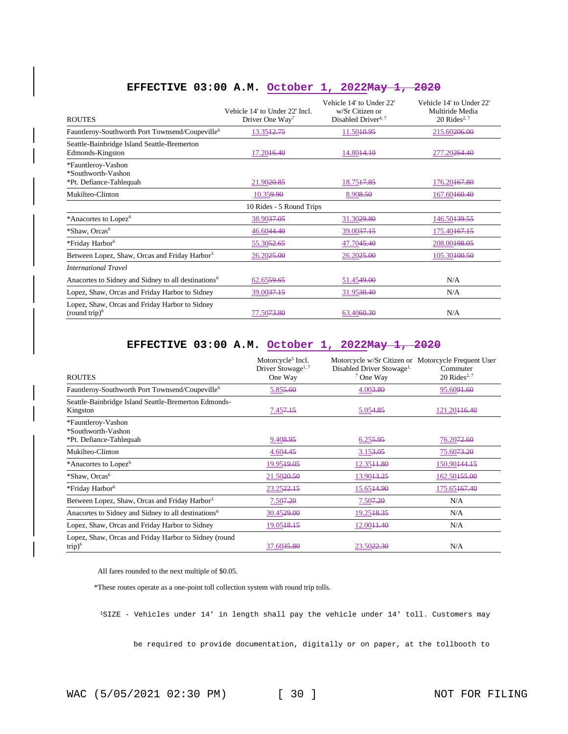| <b>ROUTES</b>                                                       | Vehicle 14' to Under 22' Incl.<br>Driver One Way <sup>7</sup> | Vehicle 14' to Under 22'<br>w/Sr Citizen or<br>Disabled Driver <sup>4,7</sup> | Vehicle 14' to Under 22'<br>Multiride Media<br>$20$ Rides <sup>2, 7</sup> |
|---------------------------------------------------------------------|---------------------------------------------------------------|-------------------------------------------------------------------------------|---------------------------------------------------------------------------|
| Fauntleroy-Southworth Port Townsend/Coupeville <sup>6</sup>         | 13.35 <del>12.75</del>                                        | 11.50 <del>10.95</del>                                                        | 215.60 <del>206.00</del>                                                  |
| Seattle-Bainbridge Island Seattle-Bremerton<br>Edmonds-Kingston     | 17.20 <del>16.40</del>                                        | 14.8044.10                                                                    | 277.20 <del>264.40</del>                                                  |
| *Fauntleroy-Vashon<br>*Southworth-Vashon<br>*Pt. Defiance-Tahlequah | 21.90 <del>20.85</del>                                        | 18.7547.85                                                                    | 176.20 <del>167.80</del>                                                  |
| Mukilteo-Clinton                                                    | 10.359.90                                                     | 8.908.50                                                                      | 167.60460.40                                                              |
|                                                                     | 10 Rides - 5 Round Trips                                      |                                                                               |                                                                           |
| *Anacortes to Lopez <sup>6</sup>                                    | 38.90 <del>37.05</del>                                        | 31.30 <del>29.80</del>                                                        | 146.50 <del>139.55</del>                                                  |
| *Shaw, Orcas <sup>6</sup>                                           | 46.6044.40                                                    | 39.00 <del>37.15</del>                                                        | 175.40 <del>167.15</del>                                                  |
| *Friday Harbor <sup>6</sup>                                         | 55.3052.65                                                    | 47.7045.40                                                                    | 208.00198.05                                                              |
| Between Lopez, Shaw, Orcas and Friday Harbor <sup>3</sup>           | 26.2025.00                                                    | 26.2025.00                                                                    | 105.30400.50                                                              |
| <b>International Travel</b>                                         |                                                               |                                                                               |                                                                           |
| Anacortes to Sidney and Sidney to all destinations <sup>6</sup>     | 62.6559.65                                                    | 51.4549.00                                                                    | N/A                                                                       |
| Lopez, Shaw, Orcas and Friday Harbor to Sidney                      | 39.00 <del>37.15</del>                                        | 31.95 <del>30.40</del>                                                        | N/A                                                                       |
| Lopez, Shaw, Orcas and Friday Harbor to Sidney<br>(round trip) $6$  | 77.50 <del>73.80</del>                                        | 63.4060.30                                                                    | N/A                                                                       |

## **EFFECTIVE 03:00 A.M. October 1, 2022May 1, 2020**

## **EFFECTIVE 03:00 A.M. October 1, 2022May 1, 2020**

| <b>ROUTES</b>                                                       | Motorcycle <sup>5</sup> Incl.<br>Driver Stowage <sup>1,7</sup><br>One Way | Motorcycle w/Sr Citizen or Motorcycle Frequent User<br>Disabled Driver Stowage <sup>1,</sup><br>$7$ One Way | Commuter<br>20 Rides <sup>2, 7</sup> |
|---------------------------------------------------------------------|---------------------------------------------------------------------------|-------------------------------------------------------------------------------------------------------------|--------------------------------------|
| Fauntleroy-Southworth Port Townsend/Coupeville <sup>6</sup>         | 5.85 <del>5.60</del>                                                      | 4.003.80                                                                                                    | 95.60 <del>91.60</del>               |
| Seattle-Bainbridge Island Seattle-Bremerton Edmonds-<br>Kingston    | 7.45 <del>7.15</del>                                                      | 5.054.85                                                                                                    | 121.20 <del>116.40</del>             |
| *Fauntleroy-Vashon<br>*Southworth-Vashon<br>*Pt. Defiance-Tahlequah | 9.408.95                                                                  | 6.255.95                                                                                                    | 76.20 <del>72.60</del>               |
| Mukilteo-Clinton                                                    | 4.604.45                                                                  | 3.153.05                                                                                                    | 75.60 <del>73.20</del>               |
| *Anacortes to Lopez <sup>6</sup>                                    | 19.95 <del>19.05</del>                                                    | 12.35+1.80                                                                                                  | 150.90 <del>144.15</del>             |
| *Shaw, Orcas <sup>6</sup>                                           | 21.5020.50                                                                | 13.9043.25                                                                                                  | 162.50455.00                         |
| *Friday Harbor <sup>6</sup>                                         | 23.2522.15                                                                | 15.6544.90                                                                                                  | 175.65167.40                         |
| Between Lopez, Shaw, Orcas and Friday Harbor <sup>3</sup>           | 7.50 <del>7.20</del>                                                      | 7.507.20                                                                                                    | N/A                                  |
| Anacortes to Sidney and Sidney to all destinations <sup>6</sup>     | 30.45 <del>29.00</del>                                                    | 19.2548.35                                                                                                  | N/A                                  |
| Lopez, Shaw, Orcas and Friday Harbor to Sidney                      | 19.05 <del>18.15</del>                                                    | 12.00 <del>11.40</del>                                                                                      | N/A                                  |
| Lopez, Shaw, Orcas and Friday Harbor to Sidney (round<br>$trip)^6$  | 37.60 <del>35.80</del>                                                    | 23.50 <del>22.30</del>                                                                                      | N/A                                  |

All fares rounded to the next multiple of \$0.05.

\*These routes operate as a one-point toll collection system with round trip tolls.

<sup>1</sup>SIZE - Vehicles under 14' in length shall pay the vehicle under 14' toll. Customers may

be required to provide documentation, digitally or on paper, at the tollbooth to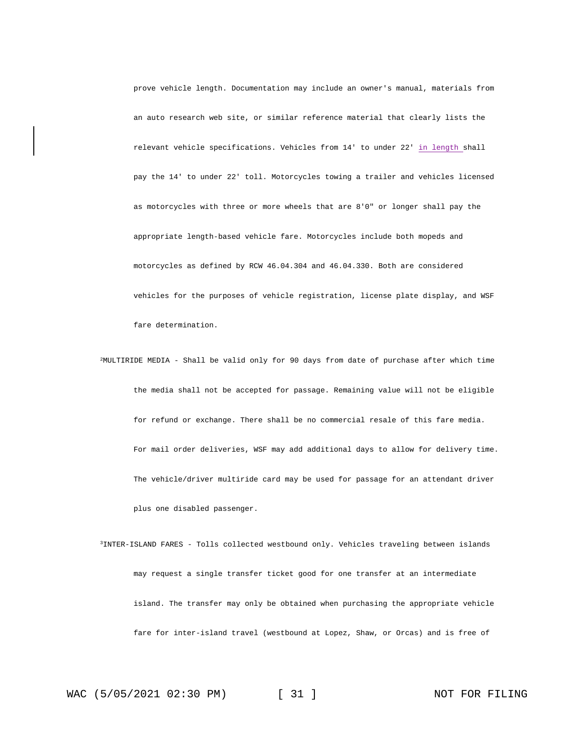prove vehicle length. Documentation may include an owner's manual, materials from an auto research web site, or similar reference material that clearly lists the relevant vehicle specifications. Vehicles from 14' to under 22' in length shall pay the 14' to under 22' toll. Motorcycles towing a trailer and vehicles licensed as motorcycles with three or more wheels that are 8'0" or longer shall pay the appropriate length-based vehicle fare. Motorcycles include both mopeds and motorcycles as defined by RCW 46.04.304 and 46.04.330. Both are considered vehicles for the purposes of vehicle registration, license plate display, and WSF fare determination.

- <sup>2</sup>MULTIRIDE MEDIA Shall be valid only for 90 days from date of purchase after which time the media shall not be accepted for passage. Remaining value will not be eligible for refund or exchange. There shall be no commercial resale of this fare media. For mail order deliveries, WSF may add additional days to allow for delivery time. The vehicle/driver multiride card may be used for passage for an attendant driver plus one disabled passenger.
- <sup>3</sup>INTER-ISLAND FARES Tolls collected westbound only. Vehicles traveling between islands may request a single transfer ticket good for one transfer at an intermediate island. The transfer may only be obtained when purchasing the appropriate vehicle fare for inter-island travel (westbound at Lopez, Shaw, or Orcas) and is free of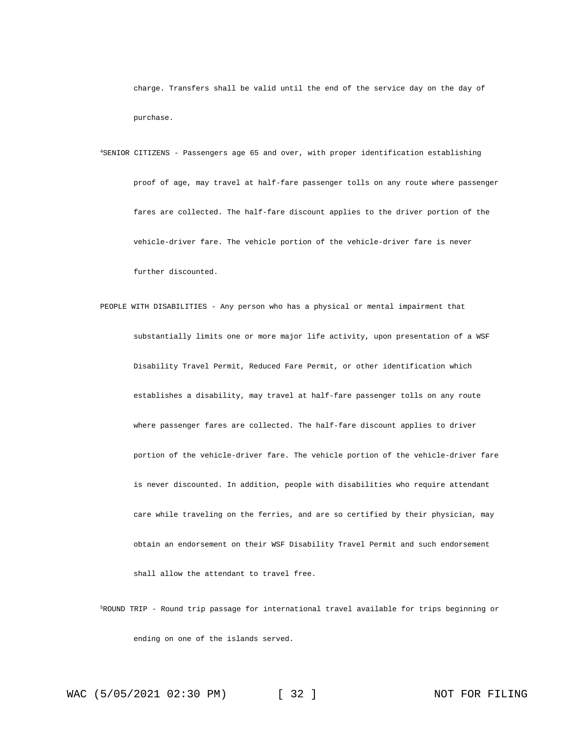charge. Transfers shall be valid until the end of the service day on the day of purchase.

<sup>4</sup>SENIOR CITIZENS - Passengers age 65 and over, with proper identification establishing proof of age, may travel at half-fare passenger tolls on any route where passenger fares are collected. The half-fare discount applies to the driver portion of the vehicle-driver fare. The vehicle portion of the vehicle-driver fare is never further discounted.

PEOPLE WITH DISABILITIES - Any person who has a physical or mental impairment that substantially limits one or more major life activity, upon presentation of a WSF Disability Travel Permit, Reduced Fare Permit, or other identification which establishes a disability, may travel at half-fare passenger tolls on any route where passenger fares are collected. The half-fare discount applies to driver portion of the vehicle-driver fare. The vehicle portion of the vehicle-driver fare is never discounted. In addition, people with disabilities who require attendant care while traveling on the ferries, and are so certified by their physician, may obtain an endorsement on their WSF Disability Travel Permit and such endorsement shall allow the attendant to travel free.

<sup>5</sup>ROUND TRIP - Round trip passage for international travel available for trips beginning or ending on one of the islands served.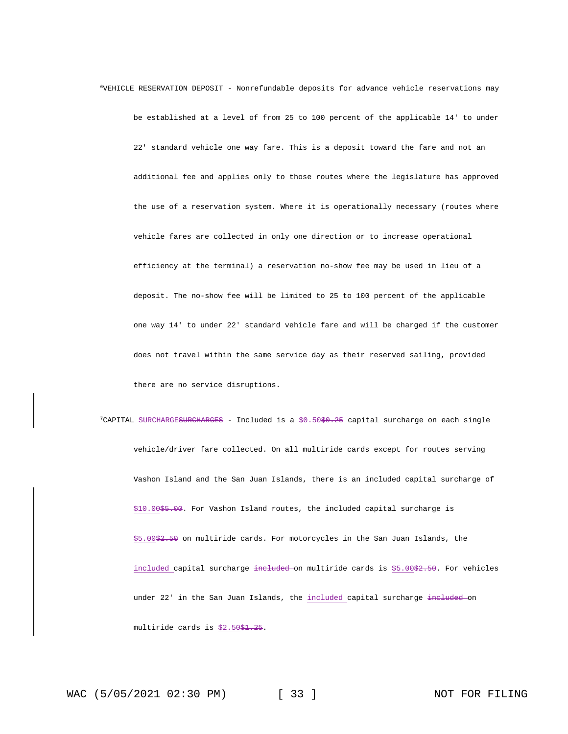<sup>6</sup>VEHICLE RESERVATION DEPOSIT - Nonrefundable deposits for advance vehicle reservations may be established at a level of from 25 to 100 percent of the applicable 14' to under 22' standard vehicle one way fare. This is a deposit toward the fare and not an additional fee and applies only to those routes where the legislature has approved the use of a reservation system. Where it is operationally necessary (routes where vehicle fares are collected in only one direction or to increase operational efficiency at the terminal) a reservation no-show fee may be used in lieu of a deposit. The no-show fee will be limited to 25 to 100 percent of the applicable one way 14' to under 22' standard vehicle fare and will be charged if the customer does not travel within the same service day as their reserved sailing, provided there are no service disruptions.

<sup>7</sup>CAPITAL SURCHARGESURCHARGES - Included is a \$0.50\$0.25 capital surcharge on each single vehicle/driver fare collected. On all multiride cards except for routes serving Vashon Island and the San Juan Islands, there is an included capital surcharge of \$10.00\$5.00. For Vashon Island routes, the included capital surcharge is \$5.00\$2.50 on multiride cards. For motorcycles in the San Juan Islands, the included capital surcharge included on multiride cards is \$5.00\$2.50. For vehicles under 22' in the San Juan Islands, the included capital surcharge included on multiride cards is \$2.50\$1.25.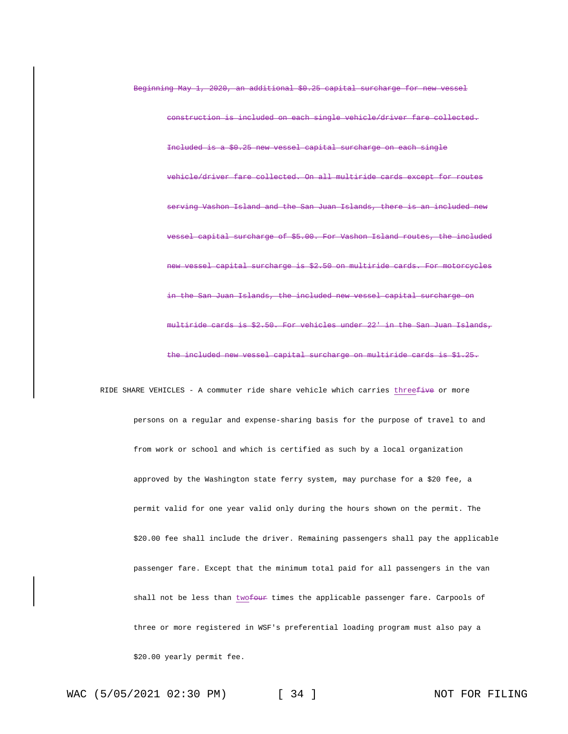included on each single vehicle/driver fare collected. Included is a \$0.25 new vessel capital surcharge on each single fare collected. On all multiride serving Vashon Island and the San Juan Islands, there is an included new surcharge of \$5.00. For Vashon Island routes, the included capital surcharge is \$2.50 on multiride cards. For motorcycles San Juan Islands, the included new vessel capital surcharge on multiride cards is \$2.50. For vehicles under 22' in the San Juan Islands, the included new vessel capital surcharge on multiride cards is \$1.25.

Beginning May 1, 2020, an additional \$0.25 capital surcharge for new vessel

RIDE SHARE VEHICLES - A commuter ride share vehicle which carries threefive or more persons on a regular and expense-sharing basis for the purpose of travel to and from work or school and which is certified as such by a local organization approved by the Washington state ferry system, may purchase for a \$20 fee, a permit valid for one year valid only during the hours shown on the permit. The \$20.00 fee shall include the driver. Remaining passengers shall pay the applicable passenger fare. Except that the minimum total paid for all passengers in the van shall not be less than twofour times the applicable passenger fare. Carpools of three or more registered in WSF's preferential loading program must also pay a \$20.00 yearly permit fee.

WAC (5/05/2021 02:30 PM) [ 34 ] NOT FOR FILING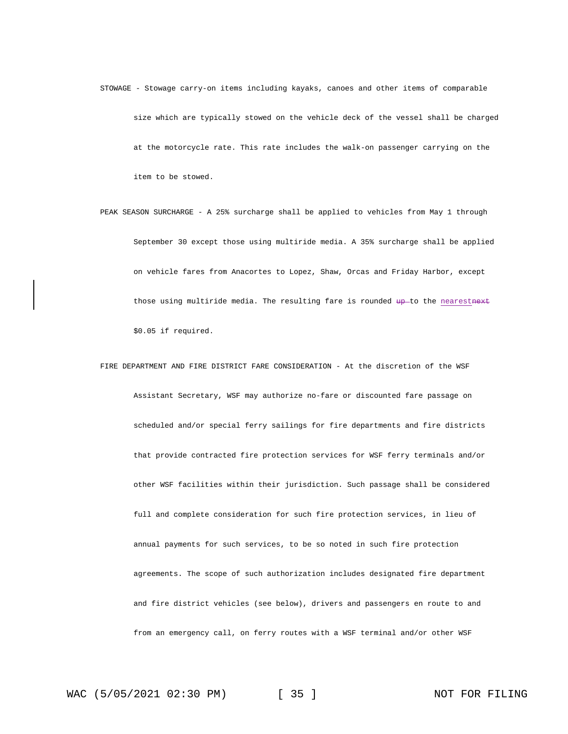- STOWAGE Stowage carry-on items including kayaks, canoes and other items of comparable size which are typically stowed on the vehicle deck of the vessel shall be charged at the motorcycle rate. This rate includes the walk-on passenger carrying on the item to be stowed.
- PEAK SEASON SURCHARGE A 25% surcharge shall be applied to vehicles from May 1 through September 30 except those using multiride media. A 35% surcharge shall be applied on vehicle fares from Anacortes to Lopez, Shaw, Orcas and Friday Harbor, except those using multiride media. The resulting fare is rounded up-to the nearestnext \$0.05 if required.
- FIRE DEPARTMENT AND FIRE DISTRICT FARE CONSIDERATION At the discretion of the WSF Assistant Secretary, WSF may authorize no-fare or discounted fare passage on scheduled and/or special ferry sailings for fire departments and fire districts that provide contracted fire protection services for WSF ferry terminals and/or other WSF facilities within their jurisdiction. Such passage shall be considered full and complete consideration for such fire protection services, in lieu of annual payments for such services, to be so noted in such fire protection agreements. The scope of such authorization includes designated fire department and fire district vehicles (see below), drivers and passengers en route to and from an emergency call, on ferry routes with a WSF terminal and/or other WSF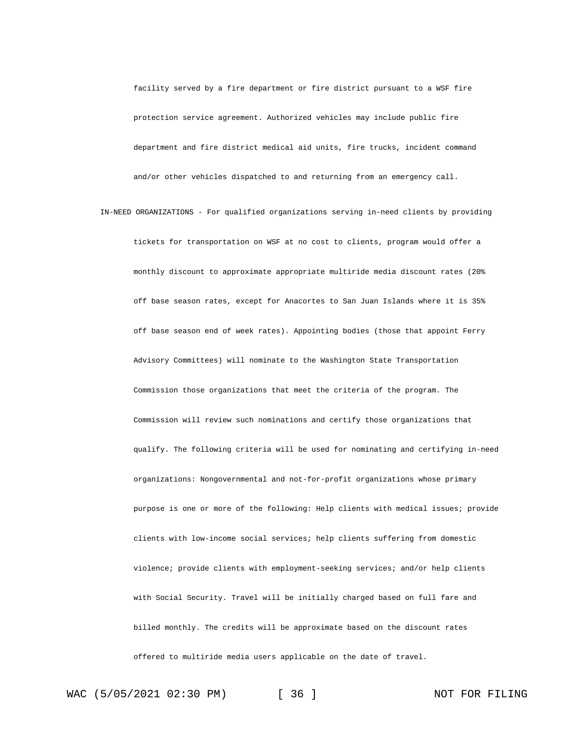facility served by a fire department or fire district pursuant to a WSF fire protection service agreement. Authorized vehicles may include public fire department and fire district medical aid units, fire trucks, incident command and/or other vehicles dispatched to and returning from an emergency call.

IN-NEED ORGANIZATIONS - For qualified organizations serving in-need clients by providing tickets for transportation on WSF at no cost to clients, program would offer a monthly discount to approximate appropriate multiride media discount rates (20% off base season rates, except for Anacortes to San Juan Islands where it is 35% off base season end of week rates). Appointing bodies (those that appoint Ferry Advisory Committees) will nominate to the Washington State Transportation Commission those organizations that meet the criteria of the program. The Commission will review such nominations and certify those organizations that qualify. The following criteria will be used for nominating and certifying in-need organizations: Nongovernmental and not-for-profit organizations whose primary purpose is one or more of the following: Help clients with medical issues; provide clients with low-income social services; help clients suffering from domestic violence; provide clients with employment-seeking services; and/or help clients with Social Security. Travel will be initially charged based on full fare and billed monthly. The credits will be approximate based on the discount rates offered to multiride media users applicable on the date of travel.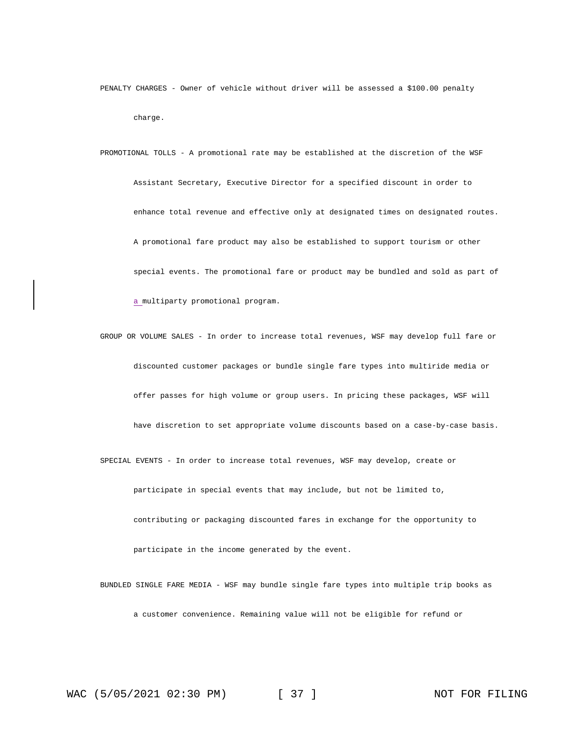PENALTY CHARGES - Owner of vehicle without driver will be assessed a \$100.00 penalty charge.

PROMOTIONAL TOLLS - A promotional rate may be established at the discretion of the WSF Assistant Secretary, Executive Director for a specified discount in order to enhance total revenue and effective only at designated times on designated routes. A promotional fare product may also be established to support tourism or other special events. The promotional fare or product may be bundled and sold as part of a multiparty promotional program.

GROUP OR VOLUME SALES - In order to increase total revenues, WSF may develop full fare or discounted customer packages or bundle single fare types into multiride media or offer passes for high volume or group users. In pricing these packages, WSF will have discretion to set appropriate volume discounts based on a case-by-case basis. SPECIAL EVENTS - In order to increase total revenues, WSF may develop, create or

participate in special events that may include, but not be limited to,

contributing or packaging discounted fares in exchange for the opportunity to participate in the income generated by the event.

BUNDLED SINGLE FARE MEDIA - WSF may bundle single fare types into multiple trip books as a customer convenience. Remaining value will not be eligible for refund or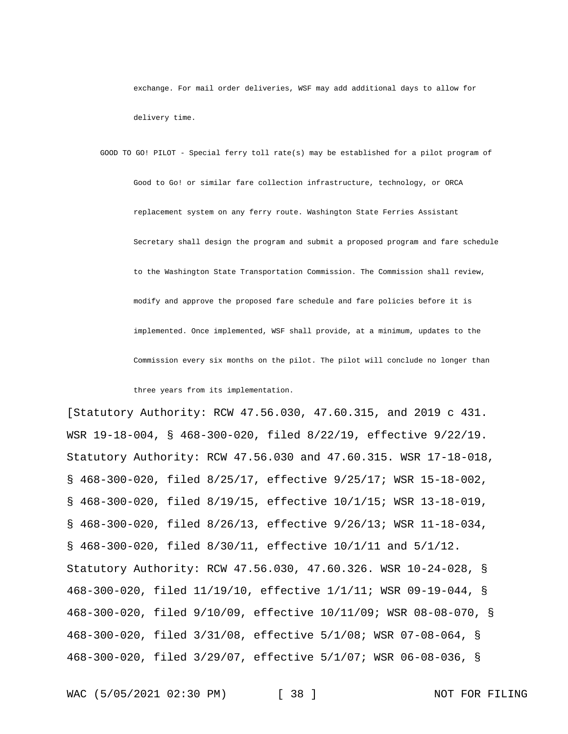exchange. For mail order deliveries, WSF may add additional days to allow for delivery time.

GOOD TO GO! PILOT - Special ferry toll rate(s) may be established for a pilot program of Good to Go! or similar fare collection infrastructure, technology, or ORCA replacement system on any ferry route. Washington State Ferries Assistant Secretary shall design the program and submit a proposed program and fare schedule to the Washington State Transportation Commission. The Commission shall review, modify and approve the proposed fare schedule and fare policies before it is implemented. Once implemented, WSF shall provide, at a minimum, updates to the Commission every six months on the pilot. The pilot will conclude no longer than

three years from its implementation.

[Statutory Authority: RCW 47.56.030, 47.60.315, and 2019 c 431. WSR 19-18-004, § 468-300-020, filed 8/22/19, effective 9/22/19. Statutory Authority: RCW 47.56.030 and 47.60.315. WSR 17-18-018, § 468-300-020, filed 8/25/17, effective 9/25/17; WSR 15-18-002, § 468-300-020, filed 8/19/15, effective 10/1/15; WSR 13-18-019, § 468-300-020, filed 8/26/13, effective 9/26/13; WSR 11-18-034, § 468-300-020, filed 8/30/11, effective 10/1/11 and 5/1/12. Statutory Authority: RCW 47.56.030, 47.60.326. WSR 10-24-028, § 468-300-020, filed 11/19/10, effective 1/1/11; WSR 09-19-044, § 468-300-020, filed 9/10/09, effective 10/11/09; WSR 08-08-070, § 468-300-020, filed 3/31/08, effective 5/1/08; WSR 07-08-064, § 468-300-020, filed 3/29/07, effective 5/1/07; WSR 06-08-036, §

WAC (5/05/2021 02:30 PM) [ 38 ] NOT FOR FILING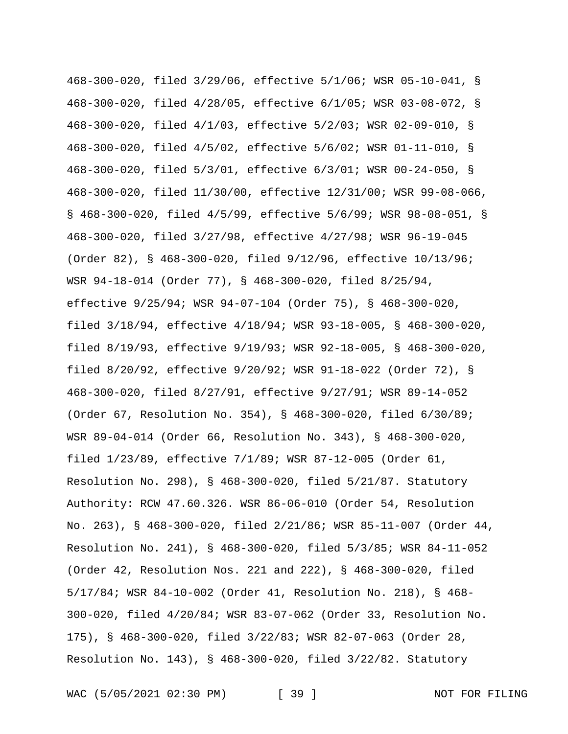468-300-020, filed 3/29/06, effective 5/1/06; WSR 05-10-041, § 468-300-020, filed 4/28/05, effective 6/1/05; WSR 03-08-072, § 468-300-020, filed 4/1/03, effective 5/2/03; WSR 02-09-010, § 468-300-020, filed 4/5/02, effective 5/6/02; WSR 01-11-010, § 468-300-020, filed 5/3/01, effective 6/3/01; WSR 00-24-050, § 468-300-020, filed 11/30/00, effective 12/31/00; WSR 99-08-066, § 468-300-020, filed 4/5/99, effective 5/6/99; WSR 98-08-051, § 468-300-020, filed 3/27/98, effective 4/27/98; WSR 96-19-045 (Order 82), § 468-300-020, filed 9/12/96, effective 10/13/96; WSR 94-18-014 (Order 77), § 468-300-020, filed 8/25/94, effective 9/25/94; WSR 94-07-104 (Order 75), § 468-300-020, filed 3/18/94, effective 4/18/94; WSR 93-18-005, § 468-300-020, filed 8/19/93, effective 9/19/93; WSR 92-18-005, § 468-300-020, filed 8/20/92, effective 9/20/92; WSR 91-18-022 (Order 72), § 468-300-020, filed 8/27/91, effective 9/27/91; WSR 89-14-052 (Order 67, Resolution No. 354), § 468-300-020, filed 6/30/89; WSR 89-04-014 (Order 66, Resolution No. 343), § 468-300-020, filed 1/23/89, effective 7/1/89; WSR 87-12-005 (Order 61, Resolution No. 298), § 468-300-020, filed 5/21/87. Statutory Authority: RCW 47.60.326. WSR 86-06-010 (Order 54, Resolution No. 263), § 468-300-020, filed 2/21/86; WSR 85-11-007 (Order 44, Resolution No. 241), § 468-300-020, filed 5/3/85; WSR 84-11-052 (Order 42, Resolution Nos. 221 and 222), § 468-300-020, filed 5/17/84; WSR 84-10-002 (Order 41, Resolution No. 218), § 468- 300-020, filed 4/20/84; WSR 83-07-062 (Order 33, Resolution No. 175), § 468-300-020, filed 3/22/83; WSR 82-07-063 (Order 28, Resolution No. 143), § 468-300-020, filed 3/22/82. Statutory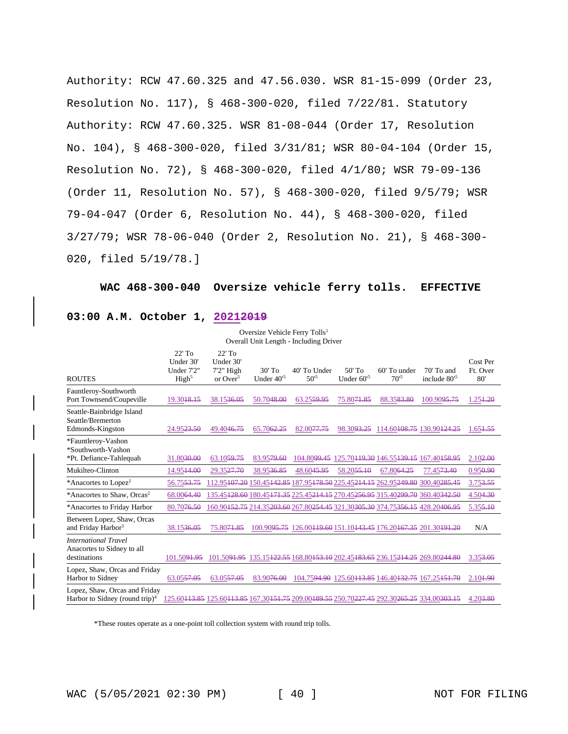Authority: RCW 47.60.325 and 47.56.030. WSR 81-15-099 (Order 23, Resolution No. 117), § 468-300-020, filed 7/22/81. Statutory Authority: RCW 47.60.325. WSR 81-08-044 (Order 17, Resolution No. 104), § 468-300-020, filed 3/31/81; WSR 80-04-104 (Order 15, Resolution No. 72), § 468-300-020, filed 4/1/80; WSR 79-09-136 (Order 11, Resolution No. 57), § 468-300-020, filed 9/5/79; WSR 79-04-047 (Order 6, Resolution No. 44), § 468-300-020, filed 3/27/79; WSR 78-06-040 (Order 2, Resolution No. 21), § 468-300- 020, filed 5/19/78.]

**WAC 468-300-040 Oversize vehicle ferry tolls. EFFECTIVE** 

## **03:00 A.M. October 1, 20212019**

Oversize Vehicle Ferry Tolls<sup>1</sup> Overall Unit Length - Including Driver

| <b>ROUTES</b>                                                               | $22'$ To<br>Under 30'<br>Under 7'2"<br>High <sup>5</sup> | $22'$ To<br>Under 30'<br>$7'2''$ High<br>or $Over^5$                                       | $30'$ To<br>Under $40^{5}$ | 40' To Under<br>$50^{5}$ | $50'$ To<br>Under $60^{5}$ | 60' To under<br>$70^{5}$                                                                                                                  | $70'$ To and<br>include 80 <sup>'5</sup> | Cost Per<br>Ft. Over<br>80' |
|-----------------------------------------------------------------------------|----------------------------------------------------------|--------------------------------------------------------------------------------------------|----------------------------|--------------------------|----------------------------|-------------------------------------------------------------------------------------------------------------------------------------------|------------------------------------------|-----------------------------|
| Fauntleroy-Southworth<br>Port Townsend/Coupeville                           | 19.3048.45                                               | 38.1536.05                                                                                 | 50.7048.00                 | 63.2559.95               | 75.8071.85                 | 88.3583.80                                                                                                                                | 100.9095.75                              | 1.254.20                    |
| Seattle-Bainbridge Island<br>Seattle/Bremerton<br>Edmonds-Kingston          | 24.9523.50                                               | 49.4046.75                                                                                 | 65.7062.25                 | 82.0077.75               |                            | 98.30 <del>93.25</del> 114.60 <del>108.75</del> 130.90424.25                                                                              |                                          | 1.654.55                    |
| *Fauntleroy-Vashon<br>*Southworth-Vashon<br>*Pt. Defiance-Tahlequah         | 31.80 <del>30.00</del>                                   | 63.1059.75                                                                                 | 83.9579.60                 | 104.80 <del>99.45</del>  |                            | 125.70 <del>119.30</del> 146.55 <del>139.15</del> 167.40 <del>158.95</del>                                                                |                                          | 2.102.00                    |
| Mukilteo-Clinton                                                            | 14.9544.00                                               | 29.3527.70                                                                                 | 38.9536.85                 | 48.6045.95               | 58.2055.10                 | 67.8064.25                                                                                                                                | 77.45 <del>73.40</del>                   | 0.950.90                    |
| *Anacortes to Lopez <sup>2</sup>                                            | 56.7553.75                                               |                                                                                            |                            |                          |                            | 112.95407.20 150.45442.85 187.95478.50 225.45214.45 262.95249.80 300.40285.45                                                             |                                          | 3.753.55                    |
| *Anacortes to Shaw, Orcas <sup>2</sup>                                      | 68.0064.40                                               |                                                                                            |                            |                          |                            | 135.45 <del>128.60</del> 180.45 <del>171.35</del> 225.45 <del>214.15</del> 270.452 <del>56.95</del> 315.40299.70 360.40342.50             |                                          | 4.504.30                    |
| *Anacortes to Friday Harbor                                                 | 80.70 <del>76.50</del>                                   |                                                                                            |                            |                          |                            | 160.90 <del>152.75</del> 214.35 <del>203.60</del> 267.80 <del>254.45</del> 321.30 <del>305.30</del> 374.75 <del>356.15</del> 428.20406.95 |                                          | 5.355.10                    |
| Between Lopez, Shaw, Orcas<br>and Friday Harbor <sup>3</sup>                | 38.1536.05                                               | 75.8071.85                                                                                 |                            |                          |                            | 100.90 <del>95.75</del> 126.00 <del>119.60</del> 151.10 <del>143.45</del> 176.20167.35 201.30191.20                                       |                                          | N/A                         |
| <b>International Travel</b><br>Anacortes to Sidney to all<br>destinations   | 101.50 <del>91.95</del>                                  |                                                                                            |                            |                          |                            | 101.50 <del>91.95</del> 135.15 <del>122.55</del> 168.80 <del>153.10</del> 202.45 <del>183.65</del> 236.15 <del>214.25</del> 269.80244.80  |                                          | 3.35 <del>3.05</del>        |
| Lopez, Shaw, Orcas and Friday<br>Harbor to Sidney                           | 63.0557.05                                               | 63.0557.05                                                                                 | 83.9076.00                 |                          |                            | 104.7594.90 125.60113.85 146.40132.75 167.25151.70                                                                                        |                                          | 2.104.90                    |
| Lopez, Shaw, Orcas and Friday<br>Harbor to Sidney (round trip) <sup>4</sup> |                                                          | 125.60443.85 125.60443.85 167.30454.75 209.00489.55 250.70227.45 292.30265.25 334.00303.15 |                            |                          |                            |                                                                                                                                           |                                          | 4.203.80                    |

\*These routes operate as a one-point toll collection system with round trip tolls.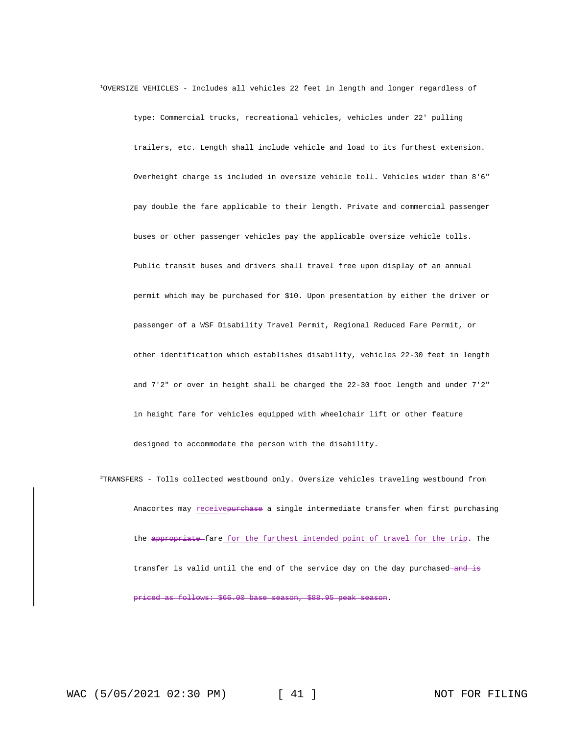<sup>1</sup>OVERSIZE VEHICLES - Includes all vehicles 22 feet in length and longer regardless of

type: Commercial trucks, recreational vehicles, vehicles under 22' pulling trailers, etc. Length shall include vehicle and load to its furthest extension. Overheight charge is included in oversize vehicle toll. Vehicles wider than 8'6" pay double the fare applicable to their length. Private and commercial passenger buses or other passenger vehicles pay the applicable oversize vehicle tolls. Public transit buses and drivers shall travel free upon display of an annual permit which may be purchased for \$10. Upon presentation by either the driver or passenger of a WSF Disability Travel Permit, Regional Reduced Fare Permit, or other identification which establishes disability, vehicles 22-30 feet in length and 7'2" or over in height shall be charged the 22-30 foot length and under 7'2" in height fare for vehicles equipped with wheelchair lift or other feature designed to accommodate the person with the disability.

<sup>2</sup>TRANSFERS - Tolls collected westbound only. Oversize vehicles traveling westbound from Anacortes may receivepurchase a single intermediate transfer when first purchasing the appropriate fare for the furthest intended point of travel for the trip. The transfer is valid until the end of the service day on the day purchased and is priced as follows: \$66.00 base season, \$88.95 peak season.

WAC (5/05/2021 02:30 PM) [ 41 ] NOT FOR FILING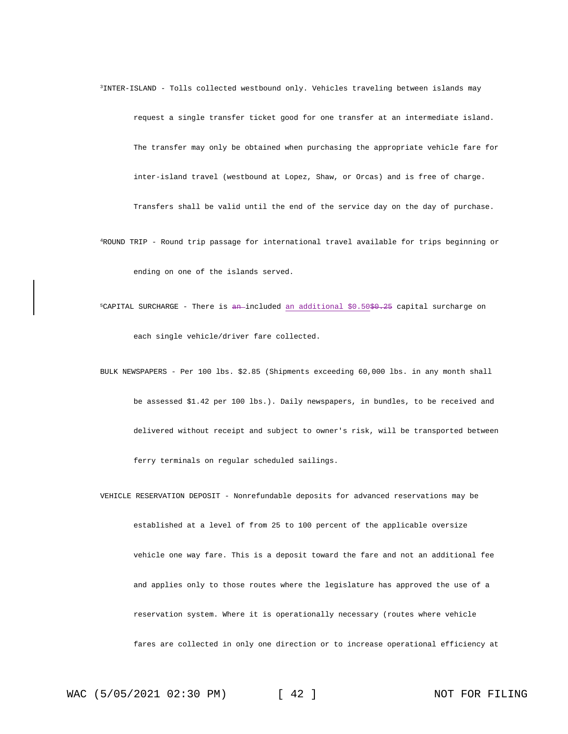- <sup>3</sup>INTER-ISLAND Tolls collected westbound only. Vehicles traveling between islands may request a single transfer ticket good for one transfer at an intermediate island. The transfer may only be obtained when purchasing the appropriate vehicle fare for inter-island travel (westbound at Lopez, Shaw, or Orcas) and is free of charge. Transfers shall be valid until the end of the service day on the day of purchase.
- <sup>4</sup>ROUND TRIP Round trip passage for international travel available for trips beginning or ending on one of the islands served.
- $5$ CAPITAL SURCHARGE There is an-included an additional  $$0.50$$  $$0.25$  capital surcharge on each single vehicle/driver fare collected.
- BULK NEWSPAPERS Per 100 lbs. \$2.85 (Shipments exceeding 60,000 lbs. in any month shall be assessed \$1.42 per 100 lbs.). Daily newspapers, in bundles, to be received and delivered without receipt and subject to owner's risk, will be transported between ferry terminals on regular scheduled sailings.
- VEHICLE RESERVATION DEPOSIT Nonrefundable deposits for advanced reservations may be established at a level of from 25 to 100 percent of the applicable oversize vehicle one way fare. This is a deposit toward the fare and not an additional fee and applies only to those routes where the legislature has approved the use of a reservation system. Where it is operationally necessary (routes where vehicle fares are collected in only one direction or to increase operational efficiency at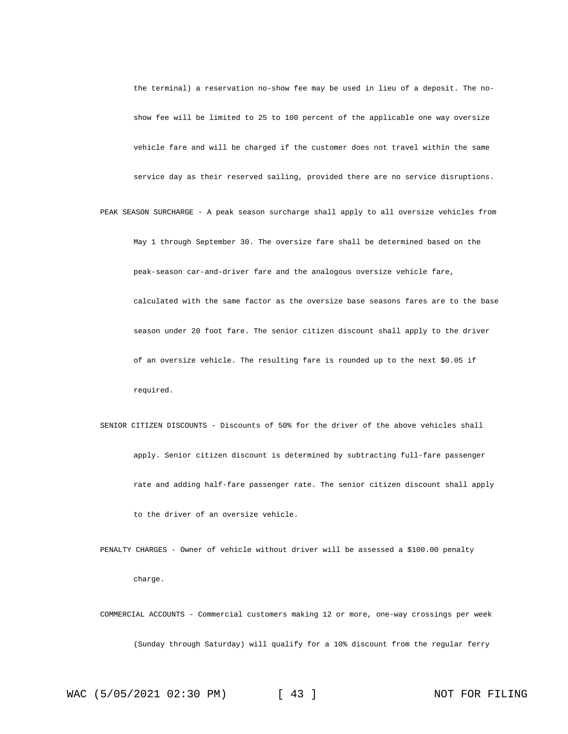the terminal) a reservation no-show fee may be used in lieu of a deposit. The noshow fee will be limited to 25 to 100 percent of the applicable one way oversize vehicle fare and will be charged if the customer does not travel within the same service day as their reserved sailing, provided there are no service disruptions.

PEAK SEASON SURCHARGE - A peak season surcharge shall apply to all oversize vehicles from May 1 through September 30. The oversize fare shall be determined based on the peak-season car-and-driver fare and the analogous oversize vehicle fare, calculated with the same factor as the oversize base seasons fares are to the base season under 20 foot fare. The senior citizen discount shall apply to the driver of an oversize vehicle. The resulting fare is rounded up to the next \$0.05 if required.

- SENIOR CITIZEN DISCOUNTS Discounts of 50% for the driver of the above vehicles shall apply. Senior citizen discount is determined by subtracting full-fare passenger rate and adding half-fare passenger rate. The senior citizen discount shall apply to the driver of an oversize vehicle.
- PENALTY CHARGES Owner of vehicle without driver will be assessed a \$100.00 penalty charge.

COMMERCIAL ACCOUNTS - Commercial customers making 12 or more, one-way crossings per week (Sunday through Saturday) will qualify for a 10% discount from the regular ferry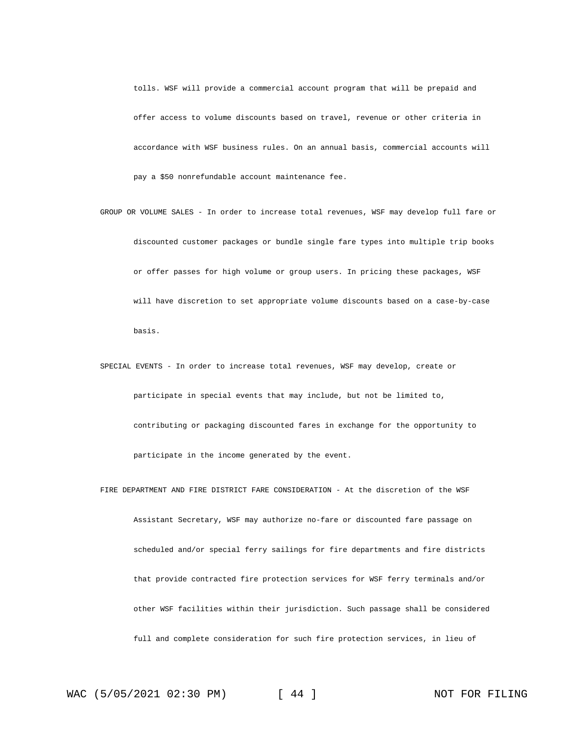tolls. WSF will provide a commercial account program that will be prepaid and offer access to volume discounts based on travel, revenue or other criteria in accordance with WSF business rules. On an annual basis, commercial accounts will pay a \$50 nonrefundable account maintenance fee.

- GROUP OR VOLUME SALES In order to increase total revenues, WSF may develop full fare or discounted customer packages or bundle single fare types into multiple trip books or offer passes for high volume or group users. In pricing these packages, WSF will have discretion to set appropriate volume discounts based on a case-by-case basis.
- SPECIAL EVENTS In order to increase total revenues, WSF may develop, create or participate in special events that may include, but not be limited to, contributing or packaging discounted fares in exchange for the opportunity to participate in the income generated by the event.
- FIRE DEPARTMENT AND FIRE DISTRICT FARE CONSIDERATION At the discretion of the WSF Assistant Secretary, WSF may authorize no-fare or discounted fare passage on scheduled and/or special ferry sailings for fire departments and fire districts that provide contracted fire protection services for WSF ferry terminals and/or other WSF facilities within their jurisdiction. Such passage shall be considered full and complete consideration for such fire protection services, in lieu of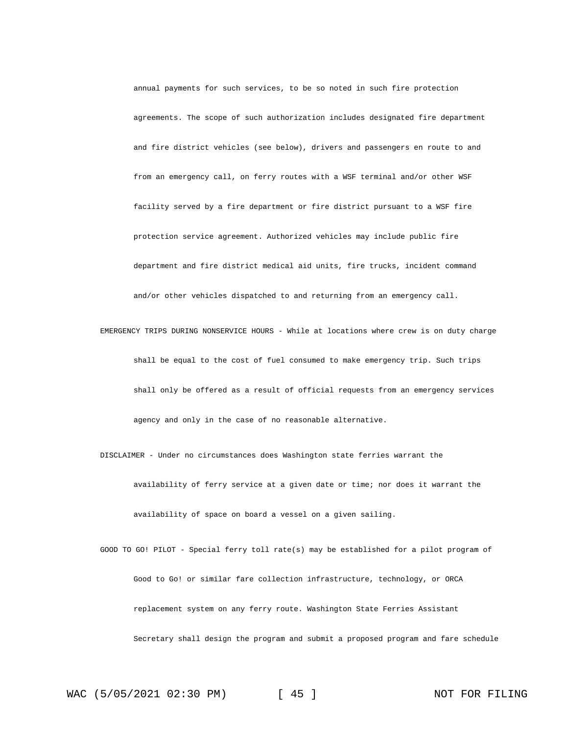annual payments for such services, to be so noted in such fire protection agreements. The scope of such authorization includes designated fire department and fire district vehicles (see below), drivers and passengers en route to and from an emergency call, on ferry routes with a WSF terminal and/or other WSF facility served by a fire department or fire district pursuant to a WSF fire protection service agreement. Authorized vehicles may include public fire department and fire district medical aid units, fire trucks, incident command and/or other vehicles dispatched to and returning from an emergency call.

EMERGENCY TRIPS DURING NONSERVICE HOURS - While at locations where crew is on duty charge shall be equal to the cost of fuel consumed to make emergency trip. Such trips shall only be offered as a result of official requests from an emergency services agency and only in the case of no reasonable alternative.

DISCLAIMER - Under no circumstances does Washington state ferries warrant the availability of ferry service at a given date or time; nor does it warrant the availability of space on board a vessel on a given sailing.

GOOD TO GO! PILOT - Special ferry toll rate(s) may be established for a pilot program of Good to Go! or similar fare collection infrastructure, technology, or ORCA replacement system on any ferry route. Washington State Ferries Assistant Secretary shall design the program and submit a proposed program and fare schedule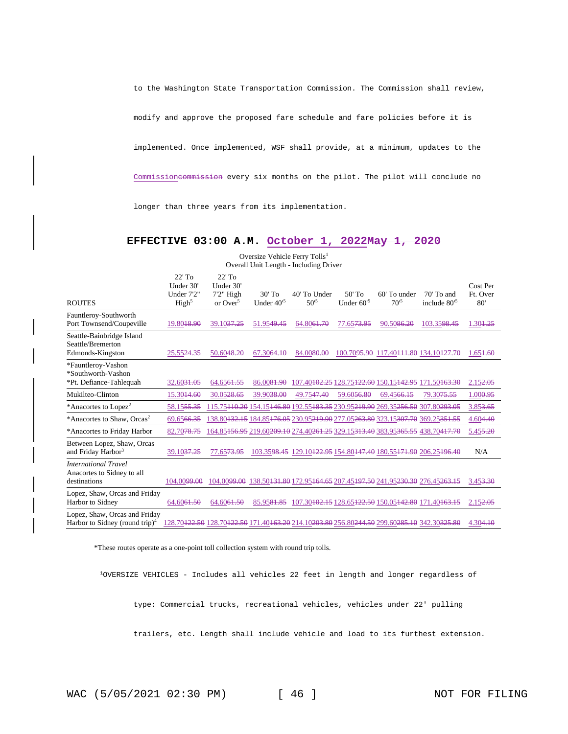to the Washington State Transportation Commission. The Commission shall review,

modify and approve the proposed fare schedule and fare policies before it is

implemented. Once implemented, WSF shall provide, at a minimum, updates to the

Commissioncommission every six months on the pilot. The pilot will conclude no

longer than three years from its implementation.

### **EFFECTIVE 03:00 A.M. October 1, 2022May 1, 2020**

Oversize Vehicle Ferry Tolls<sup>1</sup> Overall Unit Length - Including Driver

|                                                                             | $22'$ To                | $22'$ To                  |                |                                                                                                                                                        |                        |                                                                                                     |                          |                      |
|-----------------------------------------------------------------------------|-------------------------|---------------------------|----------------|--------------------------------------------------------------------------------------------------------------------------------------------------------|------------------------|-----------------------------------------------------------------------------------------------------|--------------------------|----------------------|
|                                                                             | Under 30'<br>Under 7'2" | Under 30'<br>$7'2''$ High | $30'$ To       | 40' To Under                                                                                                                                           | $50'$ To               | 60' To under                                                                                        | $70'$ To and             | Cost Per<br>Ft. Over |
| <b>ROUTES</b>                                                               | High <sup>5</sup>       | or $Over^5$               | Under $40^{5}$ | $50^{5}$                                                                                                                                               | Under $60^{5}$         | $70^{5}$                                                                                            | include 80 <sup>'5</sup> | 80'                  |
| Fauntleroy-Southworth                                                       |                         |                           |                |                                                                                                                                                        |                        |                                                                                                     |                          |                      |
| Port Townsend/Coupeville                                                    | 19.8048.90              | 39.10 <del>37.25</del>    | 51.9549.45     | 64.8061.70                                                                                                                                             | 77.65 <del>73.95</del> | 90.5086.20                                                                                          | 103.3598.45              | 1.304.25             |
| Seattle-Bainbridge Island<br>Seattle/Bremerton                              |                         |                           |                |                                                                                                                                                        |                        |                                                                                                     |                          |                      |
| Edmonds-Kingston                                                            | 25.5524.35              | 50.6048.20                | 67.3064.10     | 84.0080.00                                                                                                                                             |                        | 100.70 <del>95.90</del> 117.40 <del>111.80</del> 134.10 <del>127.70</del>                           |                          | 1.654.60             |
| *Fauntleroy-Vashon<br>*Southworth-Vashon                                    |                         |                           |                |                                                                                                                                                        |                        |                                                                                                     |                          |                      |
| *Pt. Defiance-Tahlequah                                                     | 32.6031.05              | 64.6561.55                | 86.0081.90     |                                                                                                                                                        |                        | 107.40 <del>102.25</del> 128.75 <del>122.60</del> 150.15 <del>142.95</del> 171.50 <del>163.30</del> |                          | 2.152.05             |
| Mukilteo-Clinton                                                            | 15.3044.60              | 30.0528.65                | 39.9038.00     | 49.7547.40                                                                                                                                             | 59.6056.80             | 69.4566.15                                                                                          | 79.3075.55               | 1.000.95             |
| *Anacortes to Lopez <sup>2</sup>                                            | 58.1555.35              |                           |                | 115.75440.20 154.15446.80 192.55483.35 230.95249.90 269.35256.50 307.80293.05                                                                          |                        |                                                                                                     |                          | 3.853.65             |
| *Anacortes to Shaw, Orcas <sup>2</sup>                                      | 69.6566.35              |                           |                | 138.80 <del>132.15</del> 184.85 <del>176.05</del> 230.95 <del>219.90</del> 277.05 <del>263.80</del> 323.15 <del>307.70</del> 369.25 <del>351.55</del>  |                        |                                                                                                     |                          | 4.604.40             |
| *Anacortes to Friday Harbor                                                 | 82.7078.75              |                           |                | 164.85 <del>156.95</del> 219.60 <del>209.10</del> 274.40 <del>261.25</del> 329.15 <del>313.40</del> 383.95 <del>365.55</del> 438.70 <del>417.70</del>  |                        |                                                                                                     |                          | 5.45 <del>5.20</del> |
| Between Lopez, Shaw, Orcas                                                  |                         |                           |                |                                                                                                                                                        |                        |                                                                                                     |                          |                      |
| and Friday Harbor <sup>3</sup>                                              | 39.10 <del>37.25</del>  | 77.6573.95                |                | 103.3598.45 129.10 <del>122.95</del> 154.80 <del>147.40</del> 180.55 <del>171.90</del> 206.25 <del>196.40</del>                                        |                        |                                                                                                     |                          | N/A                  |
| <b>International Travel</b><br>Anacortes to Sidney to all                   |                         |                           |                |                                                                                                                                                        |                        |                                                                                                     |                          |                      |
| destinations                                                                | 104.0099.00             |                           |                | 104,0099,00 138,50131,80 172,95164,65 207,45197,50 241,95230,30 276,45263,15                                                                           |                        |                                                                                                     |                          | $3.453 - 30$         |
| Lopez, Shaw, Orcas and Friday                                               |                         |                           |                |                                                                                                                                                        |                        |                                                                                                     |                          |                      |
| Harbor to Sidney                                                            | 64.6061.50              | 64.6061.50                | 85.9581.85     | 107.30 <del>102.15</del> 128.65 <del>122.50</del> 150.05 <del>142.80</del> 171.40163.15                                                                |                        |                                                                                                     |                          | 2.152.05             |
| Lopez, Shaw, Orcas and Friday<br>Harbor to Sidney (round trip) <sup>4</sup> |                         |                           |                | 128.70 <del>122.50</del> 128.70 <del>122.50</del> 171.40 <del>163.20</del> 214.10 <del>203.80</del> 256.80244.50 299.60 <del>285.10</del> 342.30325.80 |                        |                                                                                                     |                          | 4.304.10             |

\*These routes operate as a one-point toll collection system with round trip tolls.

<sup>1</sup>OVERSIZE VEHICLES - Includes all vehicles 22 feet in length and longer regardless of

type: Commercial trucks, recreational vehicles, vehicles under 22' pulling

trailers, etc. Length shall include vehicle and load to its furthest extension.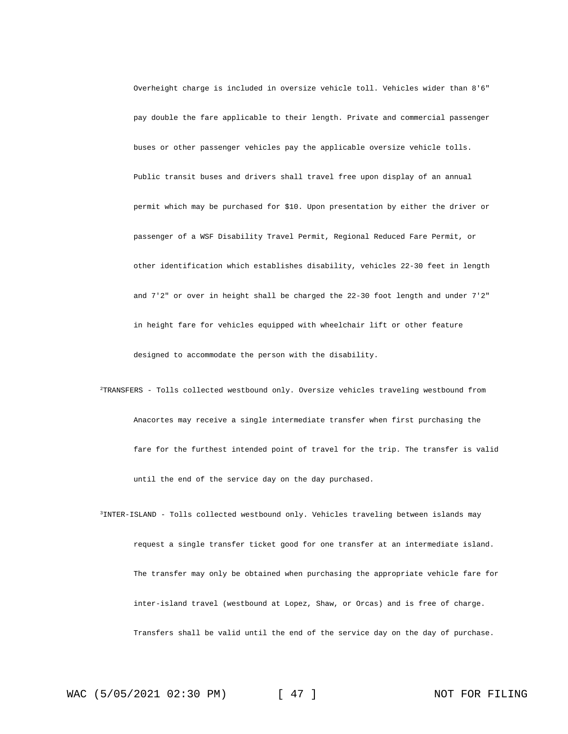Overheight charge is included in oversize vehicle toll. Vehicles wider than 8'6" pay double the fare applicable to their length. Private and commercial passenger buses or other passenger vehicles pay the applicable oversize vehicle tolls. Public transit buses and drivers shall travel free upon display of an annual permit which may be purchased for \$10. Upon presentation by either the driver or passenger of a WSF Disability Travel Permit, Regional Reduced Fare Permit, or other identification which establishes disability, vehicles 22-30 feet in length and 7'2" or over in height shall be charged the 22-30 foot length and under 7'2" in height fare for vehicles equipped with wheelchair lift or other feature designed to accommodate the person with the disability.

- <sup>2</sup>TRANSFERS Tolls collected westbound only. Oversize vehicles traveling westbound from Anacortes may receive a single intermediate transfer when first purchasing the fare for the furthest intended point of travel for the trip. The transfer is valid until the end of the service day on the day purchased.
- <sup>3</sup>INTER-ISLAND Tolls collected westbound only. Vehicles traveling between islands may request a single transfer ticket good for one transfer at an intermediate island. The transfer may only be obtained when purchasing the appropriate vehicle fare for inter-island travel (westbound at Lopez, Shaw, or Orcas) and is free of charge. Transfers shall be valid until the end of the service day on the day of purchase.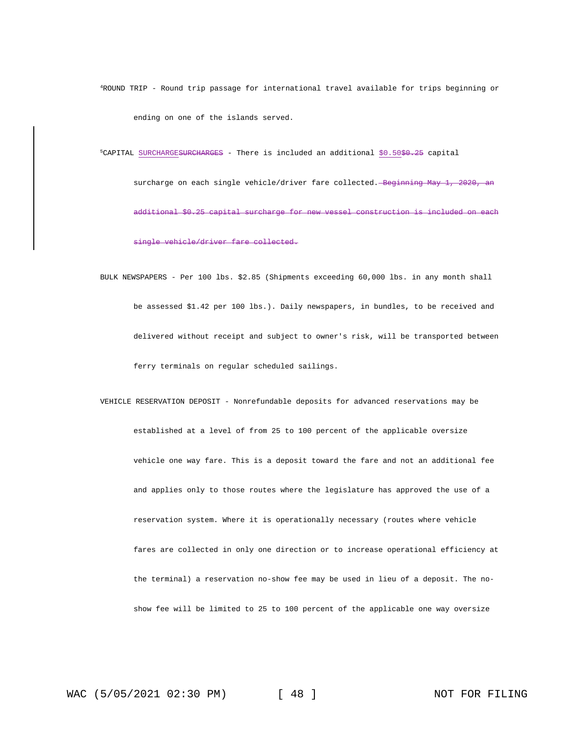<sup>4</sup>ROUND TRIP - Round trip passage for international travel available for trips beginning or ending on one of the islands served.

 $5$ CAPITAL SURCHARGESURCHARGES - There is included an additional  $$0.50$$  $$0.25$  capital

surcharge on each single vehicle/driver fare collected. Beginning May 1, 2020, an additional \$0.25 capital surcharge for new vessel construction is included on each single vehicle/driver fare collected.

BULK NEWSPAPERS - Per 100 lbs. \$2.85 (Shipments exceeding 60,000 lbs. in any month shall be assessed \$1.42 per 100 lbs.). Daily newspapers, in bundles, to be received and delivered without receipt and subject to owner's risk, will be transported between ferry terminals on regular scheduled sailings.

VEHICLE RESERVATION DEPOSIT - Nonrefundable deposits for advanced reservations may be established at a level of from 25 to 100 percent of the applicable oversize vehicle one way fare. This is a deposit toward the fare and not an additional fee and applies only to those routes where the legislature has approved the use of a reservation system. Where it is operationally necessary (routes where vehicle fares are collected in only one direction or to increase operational efficiency at the terminal) a reservation no-show fee may be used in lieu of a deposit. The noshow fee will be limited to 25 to 100 percent of the applicable one way oversize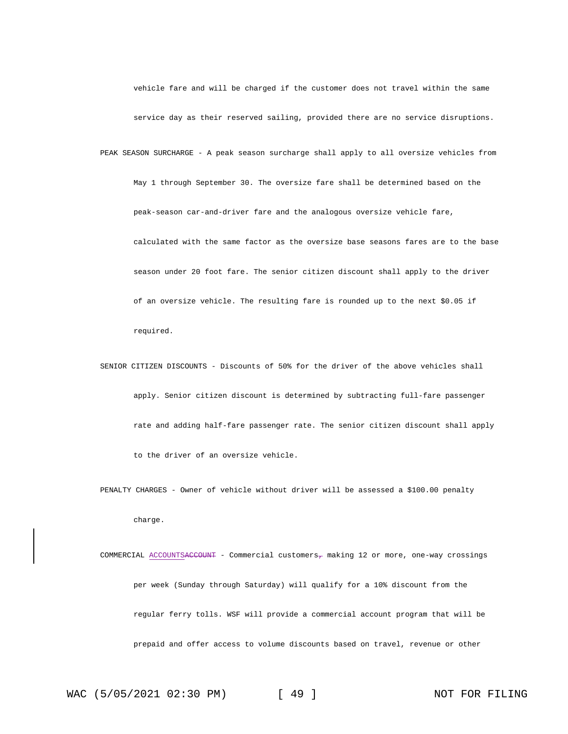vehicle fare and will be charged if the customer does not travel within the same service day as their reserved sailing, provided there are no service disruptions. PEAK SEASON SURCHARGE - A peak season surcharge shall apply to all oversize vehicles from May 1 through September 30. The oversize fare shall be determined based on the peak-season car-and-driver fare and the analogous oversize vehicle fare, calculated with the same factor as the oversize base seasons fares are to the base season under 20 foot fare. The senior citizen discount shall apply to the driver of an oversize vehicle. The resulting fare is rounded up to the next \$0.05 if required.

SENIOR CITIZEN DISCOUNTS - Discounts of 50% for the driver of the above vehicles shall apply. Senior citizen discount is determined by subtracting full-fare passenger rate and adding half-fare passenger rate. The senior citizen discount shall apply to the driver of an oversize vehicle.

PENALTY CHARGES - Owner of vehicle without driver will be assessed a \$100.00 penalty charge.

COMMERCIAL ACCOUNTSACCOUNT - Commercial customers<sub>7</sub> making 12 or more, one-way crossings per week (Sunday through Saturday) will qualify for a 10% discount from the regular ferry tolls. WSF will provide a commercial account program that will be prepaid and offer access to volume discounts based on travel, revenue or other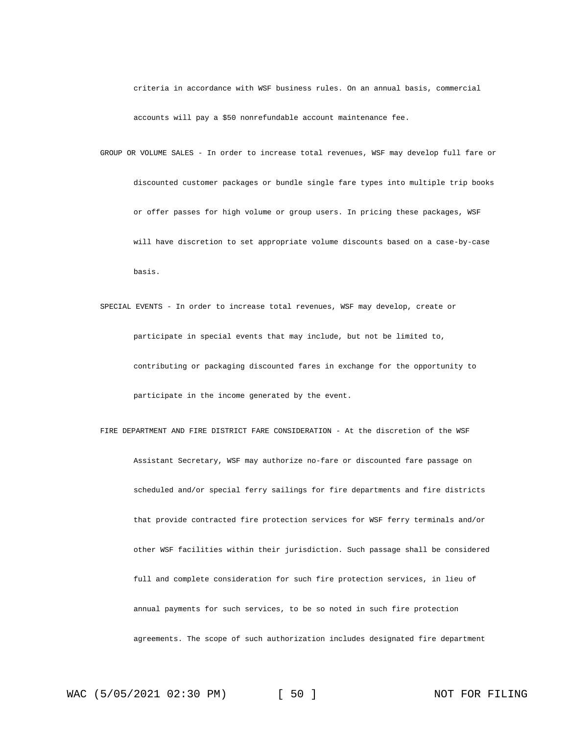criteria in accordance with WSF business rules. On an annual basis, commercial accounts will pay a \$50 nonrefundable account maintenance fee.

GROUP OR VOLUME SALES - In order to increase total revenues, WSF may develop full fare or discounted customer packages or bundle single fare types into multiple trip books or offer passes for high volume or group users. In pricing these packages, WSF will have discretion to set appropriate volume discounts based on a case-by-case basis.

- SPECIAL EVENTS In order to increase total revenues, WSF may develop, create or participate in special events that may include, but not be limited to, contributing or packaging discounted fares in exchange for the opportunity to participate in the income generated by the event.
- FIRE DEPARTMENT AND FIRE DISTRICT FARE CONSIDERATION At the discretion of the WSF Assistant Secretary, WSF may authorize no-fare or discounted fare passage on scheduled and/or special ferry sailings for fire departments and fire districts that provide contracted fire protection services for WSF ferry terminals and/or other WSF facilities within their jurisdiction. Such passage shall be considered full and complete consideration for such fire protection services, in lieu of annual payments for such services, to be so noted in such fire protection agreements. The scope of such authorization includes designated fire department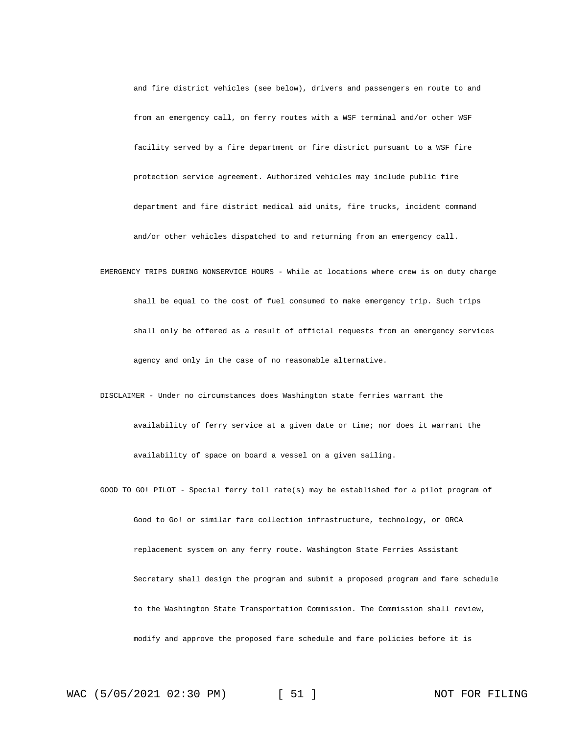and fire district vehicles (see below), drivers and passengers en route to and from an emergency call, on ferry routes with a WSF terminal and/or other WSF facility served by a fire department or fire district pursuant to a WSF fire protection service agreement. Authorized vehicles may include public fire department and fire district medical aid units, fire trucks, incident command and/or other vehicles dispatched to and returning from an emergency call.

EMERGENCY TRIPS DURING NONSERVICE HOURS - While at locations where crew is on duty charge shall be equal to the cost of fuel consumed to make emergency trip. Such trips shall only be offered as a result of official requests from an emergency services agency and only in the case of no reasonable alternative.

DISCLAIMER - Under no circumstances does Washington state ferries warrant the availability of ferry service at a given date or time; nor does it warrant the availability of space on board a vessel on a given sailing.

GOOD TO GO! PILOT - Special ferry toll rate(s) may be established for a pilot program of Good to Go! or similar fare collection infrastructure, technology, or ORCA replacement system on any ferry route. Washington State Ferries Assistant Secretary shall design the program and submit a proposed program and fare schedule to the Washington State Transportation Commission. The Commission shall review, modify and approve the proposed fare schedule and fare policies before it is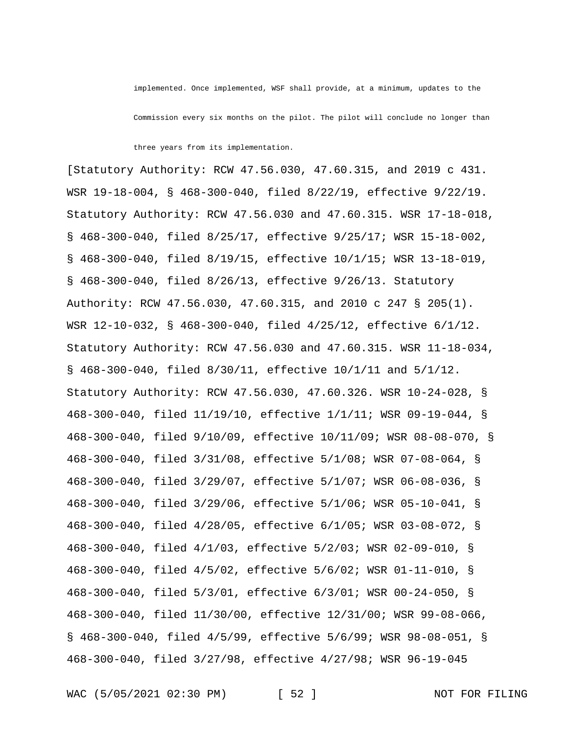implemented. Once implemented, WSF shall provide, at a minimum, updates to the

Commission every six months on the pilot. The pilot will conclude no longer than

three years from its implementation.

[Statutory Authority: RCW 47.56.030, 47.60.315, and 2019 c 431. WSR 19-18-004, § 468-300-040, filed 8/22/19, effective 9/22/19. Statutory Authority: RCW 47.56.030 and 47.60.315. WSR 17-18-018, § 468-300-040, filed 8/25/17, effective 9/25/17; WSR 15-18-002, § 468-300-040, filed 8/19/15, effective 10/1/15; WSR 13-18-019, § 468-300-040, filed 8/26/13, effective 9/26/13. Statutory Authority: RCW 47.56.030, 47.60.315, and 2010 c 247 § 205(1). WSR 12-10-032, § 468-300-040, filed 4/25/12, effective 6/1/12. Statutory Authority: RCW 47.56.030 and 47.60.315. WSR 11-18-034, § 468-300-040, filed 8/30/11, effective 10/1/11 and 5/1/12. Statutory Authority: RCW 47.56.030, 47.60.326. WSR 10-24-028, § 468-300-040, filed 11/19/10, effective 1/1/11; WSR 09-19-044, § 468-300-040, filed 9/10/09, effective 10/11/09; WSR 08-08-070, § 468-300-040, filed 3/31/08, effective 5/1/08; WSR 07-08-064, § 468-300-040, filed 3/29/07, effective 5/1/07; WSR 06-08-036, § 468-300-040, filed 3/29/06, effective 5/1/06; WSR 05-10-041, § 468-300-040, filed 4/28/05, effective 6/1/05; WSR 03-08-072, § 468-300-040, filed 4/1/03, effective 5/2/03; WSR 02-09-010, § 468-300-040, filed 4/5/02, effective 5/6/02; WSR 01-11-010, § 468-300-040, filed 5/3/01, effective 6/3/01; WSR 00-24-050, § 468-300-040, filed 11/30/00, effective 12/31/00; WSR 99-08-066, § 468-300-040, filed 4/5/99, effective 5/6/99; WSR 98-08-051, § 468-300-040, filed 3/27/98, effective 4/27/98; WSR 96-19-045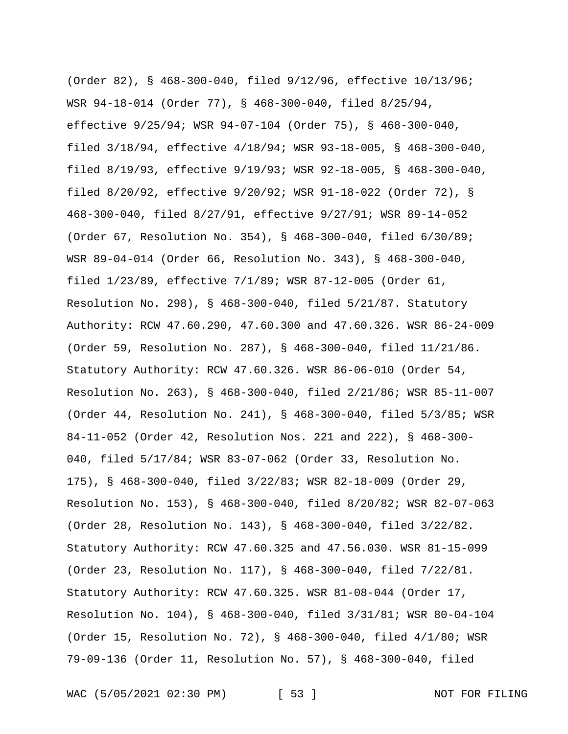(Order 82), § 468-300-040, filed 9/12/96, effective 10/13/96; WSR 94-18-014 (Order 77), § 468-300-040, filed 8/25/94, effective 9/25/94; WSR 94-07-104 (Order 75), § 468-300-040, filed 3/18/94, effective 4/18/94; WSR 93-18-005, § 468-300-040, filed 8/19/93, effective 9/19/93; WSR 92-18-005, § 468-300-040, filed 8/20/92, effective 9/20/92; WSR 91-18-022 (Order 72), § 468-300-040, filed 8/27/91, effective 9/27/91; WSR 89-14-052 (Order 67, Resolution No. 354), § 468-300-040, filed 6/30/89; WSR 89-04-014 (Order 66, Resolution No. 343), § 468-300-040, filed 1/23/89, effective 7/1/89; WSR 87-12-005 (Order 61, Resolution No. 298), § 468-300-040, filed 5/21/87. Statutory Authority: RCW 47.60.290, 47.60.300 and 47.60.326. WSR 86-24-009 (Order 59, Resolution No. 287), § 468-300-040, filed 11/21/86. Statutory Authority: RCW 47.60.326. WSR 86-06-010 (Order 54, Resolution No. 263), § 468-300-040, filed 2/21/86; WSR 85-11-007 (Order 44, Resolution No. 241), § 468-300-040, filed 5/3/85; WSR 84-11-052 (Order 42, Resolution Nos. 221 and 222), § 468-300- 040, filed 5/17/84; WSR 83-07-062 (Order 33, Resolution No. 175), § 468-300-040, filed 3/22/83; WSR 82-18-009 (Order 29, Resolution No. 153), § 468-300-040, filed 8/20/82; WSR 82-07-063 (Order 28, Resolution No. 143), § 468-300-040, filed 3/22/82. Statutory Authority: RCW 47.60.325 and 47.56.030. WSR 81-15-099 (Order 23, Resolution No. 117), § 468-300-040, filed 7/22/81. Statutory Authority: RCW 47.60.325. WSR 81-08-044 (Order 17, Resolution No. 104), § 468-300-040, filed 3/31/81; WSR 80-04-104 (Order 15, Resolution No. 72), § 468-300-040, filed 4/1/80; WSR 79-09-136 (Order 11, Resolution No. 57), § 468-300-040, filed

WAC (5/05/2021 02:30 PM) [ 53 ] NOT FOR FILING